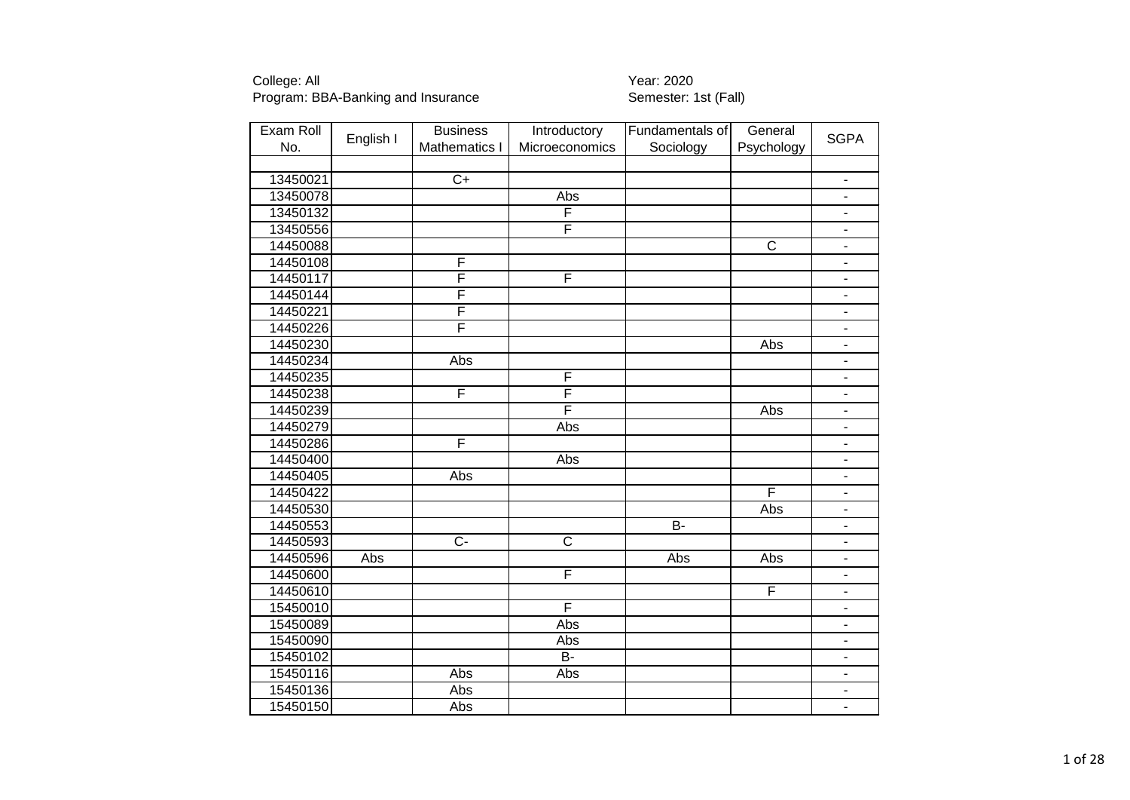| Exam Roll | English I | <b>Business</b>         | Introductory          | Fundamentals of | General                 | <b>SGPA</b>                  |
|-----------|-----------|-------------------------|-----------------------|-----------------|-------------------------|------------------------------|
| No.       |           | <b>Mathematics I</b>    | Microeconomics        | Sociology       | Psychology              |                              |
|           |           |                         |                       |                 |                         |                              |
| 13450021  |           | $C+$                    |                       |                 |                         | $\blacksquare$               |
| 13450078  |           |                         | Abs                   |                 |                         | $\blacksquare$               |
| 13450132  |           |                         | F                     |                 |                         | Ξ.                           |
| 13450556  |           |                         | F                     |                 |                         | $\blacksquare$               |
| 14450088  |           |                         |                       |                 | $\overline{\text{c}}$   | $\blacksquare$               |
| 14450108  |           | F                       |                       |                 |                         | $\overline{\phantom{m}}$     |
| 14450117  |           | F                       | F                     |                 |                         | $\blacksquare$               |
| 14450144  |           | $\overline{\mathsf{F}}$ |                       |                 |                         |                              |
| 14450221  |           | F                       |                       |                 |                         | $\overline{\phantom{0}}$     |
| 14450226  |           | F                       |                       |                 |                         | $\qquad \qquad \blacksquare$ |
| 14450230  |           |                         |                       |                 | Abs                     | $\blacksquare$               |
| 14450234  |           | Abs                     |                       |                 |                         | $\overline{\phantom{a}}$     |
| 14450235  |           |                         | F                     |                 |                         | $\qquad \qquad \blacksquare$ |
| 14450238  |           | F                       | F                     |                 |                         | $\blacksquare$               |
| 14450239  |           |                         | F                     |                 | Abs                     | $\blacksquare$               |
| 14450279  |           |                         | Abs                   |                 |                         | $\overline{\phantom{0}}$     |
| 14450286  |           | F                       |                       |                 |                         | $\blacksquare$               |
| 14450400  |           |                         | Abs                   |                 |                         | ÷.                           |
| 14450405  |           | Abs                     |                       |                 |                         | $\qquad \qquad \blacksquare$ |
| 14450422  |           |                         |                       |                 | $\overline{\mathsf{F}}$ | $\overline{\phantom{a}}$     |
| 14450530  |           |                         |                       |                 | Abs                     | $\overline{a}$               |
| 14450553  |           |                         |                       | B-              |                         | $\blacksquare$               |
| 14450593  |           | $\overline{C}$          | $\overline{\text{c}}$ |                 |                         | $\overline{\phantom{a}}$     |
| 14450596  | Abs       |                         |                       | Abs             | Abs                     | $\qquad \qquad \blacksquare$ |
| 14450600  |           |                         | F                     |                 |                         | $\blacksquare$               |
| 14450610  |           |                         |                       |                 | F                       | $\overline{\phantom{a}}$     |
| 15450010  |           |                         | F                     |                 |                         | $\blacksquare$               |
| 15450089  |           |                         | Abs                   |                 |                         | $\blacksquare$               |
| 15450090  |           |                         | Abs                   |                 |                         | $\blacksquare$               |
| 15450102  |           |                         | B-                    |                 |                         | $\overline{\phantom{0}}$     |
| 15450116  |           | Abs                     | Abs                   |                 |                         | $\frac{1}{2}$                |
| 15450136  |           | Abs                     |                       |                 |                         | $\overline{\phantom{0}}$     |
| 15450150  |           | Abs                     |                       |                 |                         | $\blacksquare$               |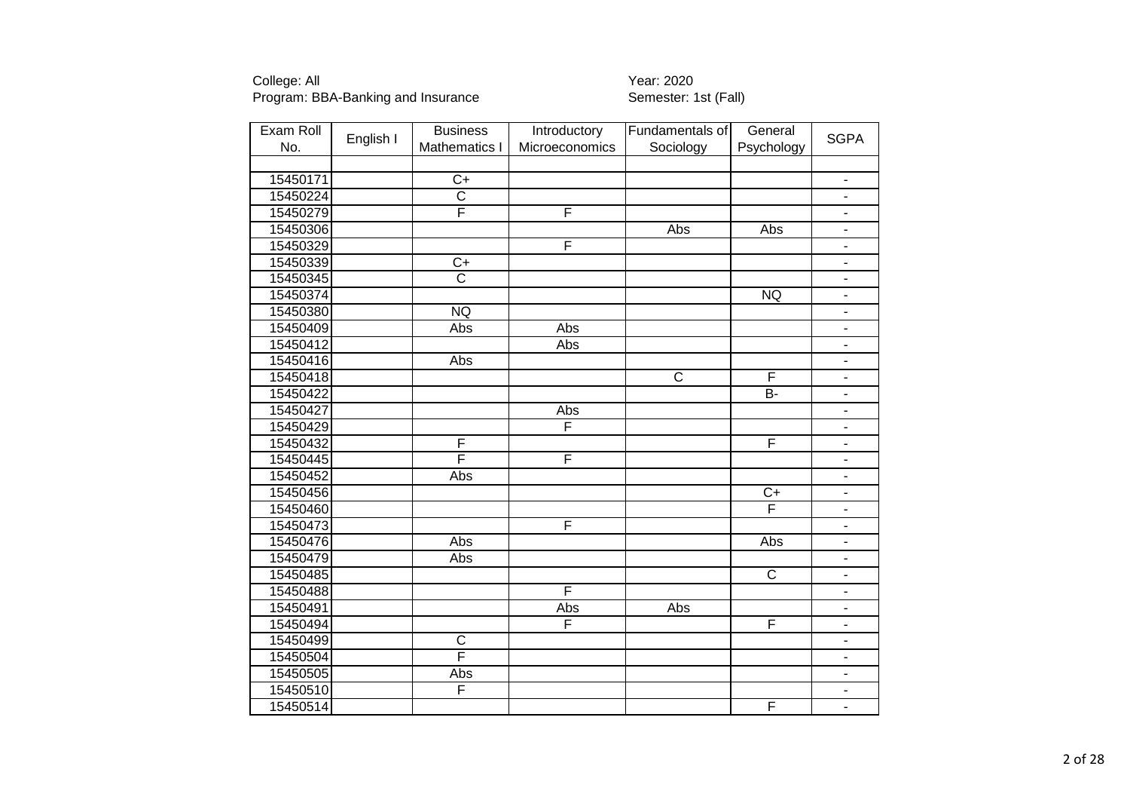| Exam Roll |           | <b>Business</b>         | Introductory            | Fundamentals of       | General                 |                              |
|-----------|-----------|-------------------------|-------------------------|-----------------------|-------------------------|------------------------------|
| No.       | English I | Mathematics I           | Microeconomics          | Sociology             | Psychology              | <b>SGPA</b>                  |
|           |           |                         |                         |                       |                         |                              |
| 15450171  |           | $C+$                    |                         |                       |                         | $\blacksquare$               |
| 15450224  |           | $\overline{\text{c}}$   |                         |                       |                         | ÷,                           |
| 15450279  |           | F                       | F                       |                       |                         | $\overline{\phantom{a}}$     |
| 15450306  |           |                         |                         | Abs                   | Abs                     | $\qquad \qquad \blacksquare$ |
| 15450329  |           |                         | F                       |                       |                         | $\overline{a}$               |
| 15450339  |           | $\overline{C+}$         |                         |                       |                         |                              |
| 15450345  |           | $\overline{\text{c}}$   |                         |                       |                         |                              |
| 15450374  |           |                         |                         |                       | <b>NQ</b>               | $\overline{\phantom{a}}$     |
| 15450380  |           | NQ                      |                         |                       |                         | $\overline{\phantom{a}}$     |
| 15450409  |           | Abs                     | Abs                     |                       |                         | $\overline{\phantom{0}}$     |
| 15450412  |           |                         | <b>Abs</b>              |                       |                         | $\blacksquare$               |
| 15450416  |           | Abs                     |                         |                       |                         | $\blacksquare$               |
| 15450418  |           |                         |                         | $\overline{\text{c}}$ | F                       | $\blacksquare$               |
| 15450422  |           |                         |                         |                       | B-                      | $\blacksquare$               |
| 15450427  |           |                         | Abs                     |                       |                         | $\blacksquare$               |
| 15450429  |           |                         | $\overline{\mathsf{F}}$ |                       |                         | $\blacksquare$               |
| 15450432  |           | F                       |                         |                       | F                       | $\overline{\phantom{0}}$     |
| 15450445  |           | F                       | F                       |                       |                         | $\blacksquare$               |
| 15450452  |           | Abs                     |                         |                       |                         |                              |
| 15450456  |           |                         |                         |                       | $\overline{C+}$         | $\overline{\phantom{0}}$     |
| 15450460  |           |                         |                         |                       | F                       | $\overline{\phantom{a}}$     |
| 15450473  |           |                         | F                       |                       |                         | $\overline{\phantom{a}}$     |
| 15450476  |           | Abs                     |                         |                       | Abs                     | $\overline{\phantom{m}}$     |
| 15450479  |           | Abs                     |                         |                       |                         | $\blacksquare$               |
| 15450485  |           |                         |                         |                       | $\overline{C}$          | $\blacksquare$               |
| 15450488  |           |                         | F                       |                       |                         | ۰                            |
| 15450491  |           |                         | Abs                     | Abs                   |                         | $\blacksquare$               |
| 15450494  |           |                         | $\overline{\mathsf{F}}$ |                       | F                       | $\blacksquare$               |
| 15450499  |           | $\overline{\mathrm{C}}$ |                         |                       |                         | $\blacksquare$               |
| 15450504  |           | F                       |                         |                       |                         | $\overline{\phantom{a}}$     |
| 15450505  |           | Abs                     |                         |                       |                         | $\blacksquare$               |
| 15450510  |           | F                       |                         |                       |                         | $\overline{\phantom{0}}$     |
| 15450514  |           |                         |                         |                       | $\overline{\mathsf{F}}$ | $\blacksquare$               |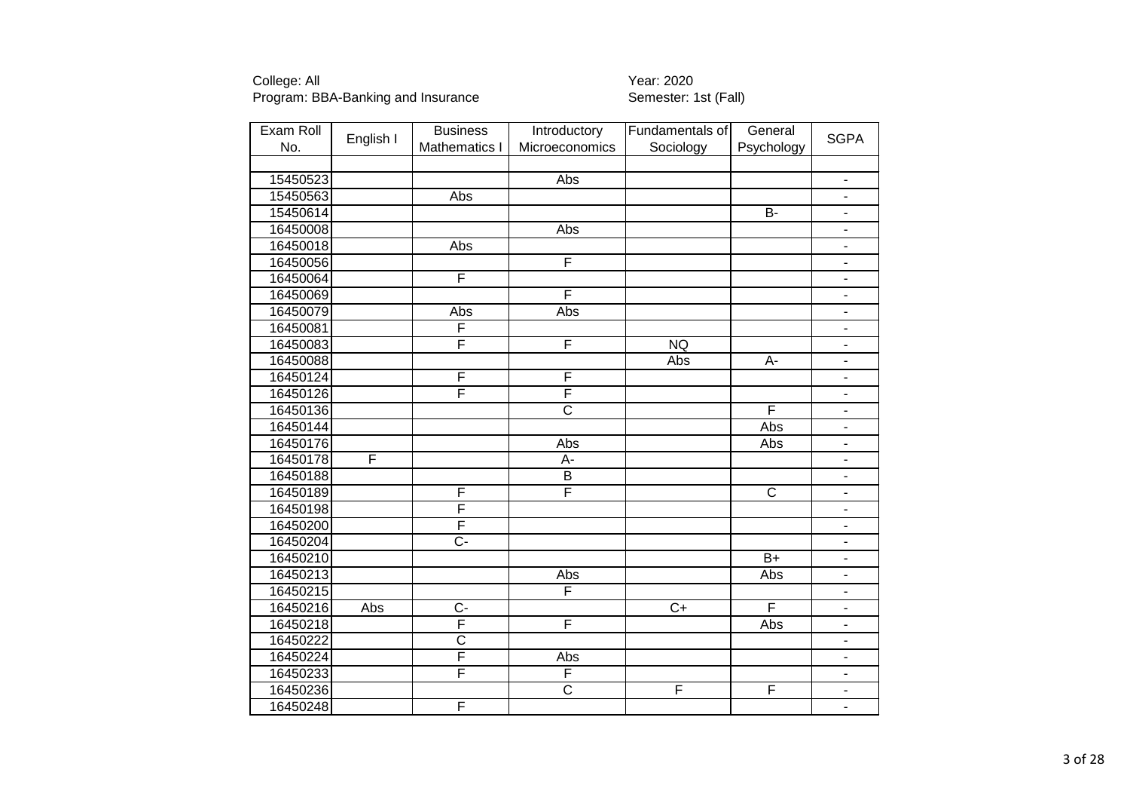| Exam Roll |           | <b>Business</b>         | Introductory            | Fundamentals of | General                 |                          |
|-----------|-----------|-------------------------|-------------------------|-----------------|-------------------------|--------------------------|
| No.       | English I | Mathematics I           | Microeconomics          | Sociology       | Psychology              | <b>SGPA</b>              |
|           |           |                         |                         |                 |                         |                          |
| 15450523  |           |                         | Abs                     |                 |                         | $\blacksquare$           |
| 15450563  |           | <b>Abs</b>              |                         |                 |                         | ÷.                       |
| 15450614  |           |                         |                         |                 | $\overline{B}$          | $\overline{\phantom{a}}$ |
| 16450008  |           |                         | Abs                     |                 |                         |                          |
| 16450018  |           | Abs                     |                         |                 |                         | $\overline{a}$           |
| 16450056  |           |                         | F                       |                 |                         |                          |
| 16450064  |           | F                       |                         |                 |                         |                          |
| 16450069  |           |                         | F                       |                 |                         | $\overline{\phantom{a}}$ |
| 16450079  |           | Abs                     | Abs                     |                 |                         | $\overline{\phantom{a}}$ |
| 16450081  |           | F                       |                         |                 |                         | $\blacksquare$           |
| 16450083  |           | $\overline{\mathsf{F}}$ | F                       | <b>NQ</b>       |                         | $\blacksquare$           |
| 16450088  |           |                         |                         | Abs             | А-                      | $\blacksquare$           |
| 16450124  |           | F                       | $\overline{F}$          |                 |                         | $\frac{1}{2}$            |
| 16450126  |           | F                       | F                       |                 |                         | $\blacksquare$           |
| 16450136  |           |                         | $\overline{\text{c}}$   |                 | F                       | $\blacksquare$           |
| 16450144  |           |                         |                         |                 | Abs                     | $\blacksquare$           |
| 16450176  |           |                         | Abs                     |                 | Abs                     | $\overline{\phantom{0}}$ |
| 16450178  | F         |                         | A-                      |                 |                         | $\blacksquare$           |
| 16450188  |           |                         | B                       |                 |                         |                          |
| 16450189  |           | F                       | F                       |                 | $\overline{\mathsf{c}}$ | $\overline{\phantom{a}}$ |
| 16450198  |           | F                       |                         |                 |                         |                          |
| 16450200  |           | F                       |                         |                 |                         |                          |
| 16450204  |           | $\overline{C}$ -        |                         |                 |                         | $\overline{\phantom{m}}$ |
| 16450210  |           |                         |                         |                 | $B+$                    | $\blacksquare$           |
| 16450213  |           |                         | Abs                     |                 | Abs                     | $\blacksquare$           |
| 16450215  |           |                         | F                       |                 |                         | ۰                        |
| 16450216  | Abs       | $\overline{C}$          |                         | $\overline{C+}$ | F                       | $\blacksquare$           |
| 16450218  |           | F                       | F                       |                 | Abs                     | $\blacksquare$           |
| 16450222  |           | $\overline{\text{c}}$   |                         |                 |                         | $\blacksquare$           |
| 16450224  |           | F                       | Abs                     |                 |                         | $\overline{\phantom{a}}$ |
| 16450233  |           | F                       | $\overline{\mathsf{F}}$ |                 |                         | $\blacksquare$           |
| 16450236  |           |                         | $\overline{\text{c}}$   | F               | F                       | $\overline{\phantom{0}}$ |
| 16450248  |           | F                       |                         |                 |                         | $\overline{\phantom{0}}$ |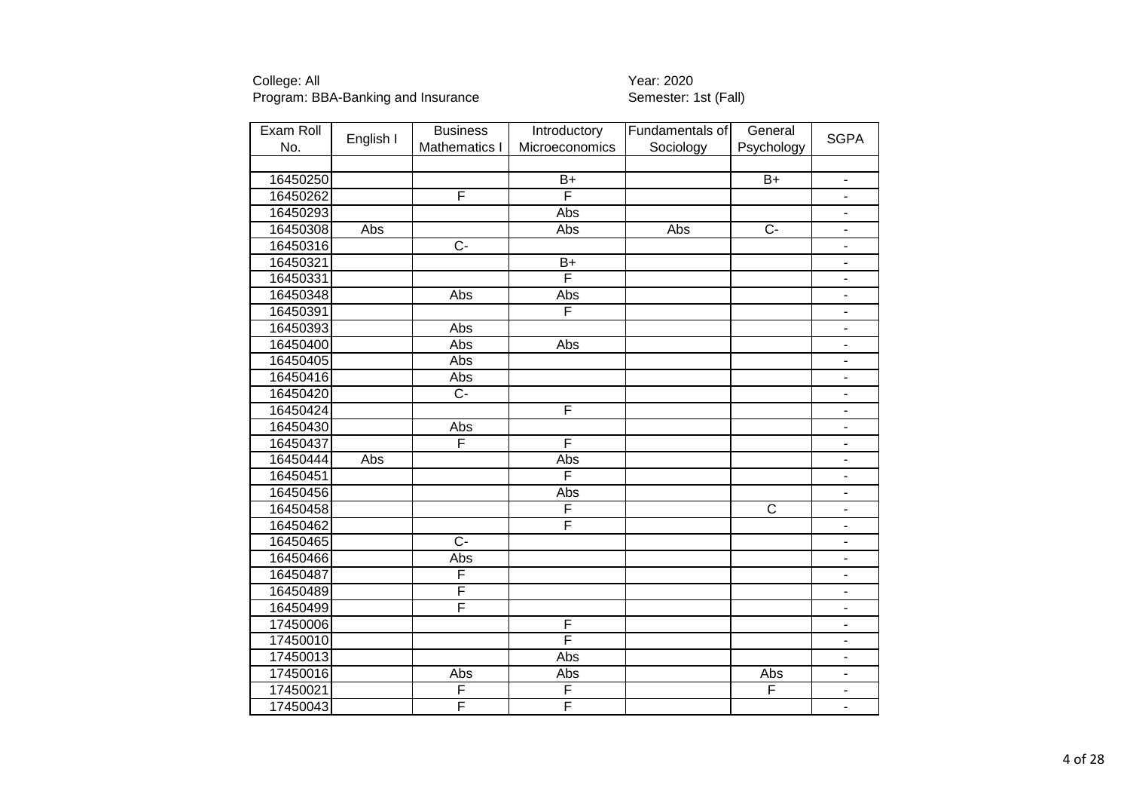| Exam Roll | English I | <b>Business</b> | Introductory   | Fundamentals of | General               | <b>SGPA</b>                  |
|-----------|-----------|-----------------|----------------|-----------------|-----------------------|------------------------------|
| No.       |           | Mathematics I   | Microeconomics | Sociology       | Psychology            |                              |
|           |           |                 |                |                 |                       |                              |
| 16450250  |           |                 | $B+$           |                 | $B+$                  | $\blacksquare$               |
| 16450262  |           | F               | F              |                 |                       | $\overline{a}$               |
| 16450293  |           |                 | <b>Abs</b>     |                 |                       | $\overline{\phantom{0}}$     |
| 16450308  | Abs       |                 | Abs            | Abs             | $\overline{C}$        | $\overline{\phantom{0}}$     |
| 16450316  |           | $\overline{C}$  |                |                 |                       | ÷,                           |
| 16450321  |           |                 | $B+$           |                 |                       | $\qquad \qquad \blacksquare$ |
| 16450331  |           |                 | F              |                 |                       | $\blacksquare$               |
| 16450348  |           | Abs             | Abs            |                 |                       | $\overline{\phantom{a}}$     |
| 16450391  |           |                 | F              |                 |                       | $\overline{\phantom{m}}$     |
| 16450393  |           | Abs             |                |                 |                       | $\overline{\phantom{m}}$     |
| 16450400  |           | Abs             | Abs            |                 |                       | $\blacksquare$               |
| 16450405  |           | Abs             |                |                 |                       | $\blacksquare$               |
| 16450416  |           | Abs             |                |                 |                       | $\blacksquare$               |
| 16450420  |           | $\overline{C}$  |                |                 |                       | $\blacksquare$               |
| 16450424  |           |                 | F              |                 |                       | $\blacksquare$               |
| 16450430  |           | Abs             |                |                 |                       | $\overline{\phantom{0}}$     |
| 16450437  |           | F               | F              |                 |                       | $\overline{\phantom{0}}$     |
| 16450444  | Abs       |                 | Abs            |                 |                       | $\blacksquare$               |
| 16450451  |           |                 | F              |                 |                       | $\blacksquare$               |
| 16450456  |           |                 | Abs            |                 |                       | $\blacksquare$               |
| 16450458  |           |                 | F              |                 | $\overline{\text{c}}$ | $\overline{\phantom{a}}$     |
| 16450462  |           |                 | F              |                 |                       | ÷,                           |
| 16450465  |           | $\overline{C}$  |                |                 |                       | $\overline{\phantom{0}}$     |
| 16450466  |           | Abs             |                |                 |                       | $\qquad \qquad \blacksquare$ |
| 16450487  |           | F               |                |                 |                       | $\blacksquare$               |
| 16450489  |           | F               |                |                 |                       | ۰                            |
| 16450499  |           | F               |                |                 |                       | $\blacksquare$               |
| 17450006  |           |                 | $\overline{F}$ |                 |                       | $\blacksquare$               |
| 17450010  |           |                 | F              |                 |                       | $\blacksquare$               |
| 17450013  |           |                 | Abs            |                 |                       | $\blacksquare$               |
| 17450016  |           | Abs             | Abs            |                 | Abs                   | $\frac{1}{2}$                |
| 17450021  |           | F               | F              |                 | F                     | $\overline{a}$               |
| 17450043  |           | F               | F              |                 |                       | $\overline{\phantom{0}}$     |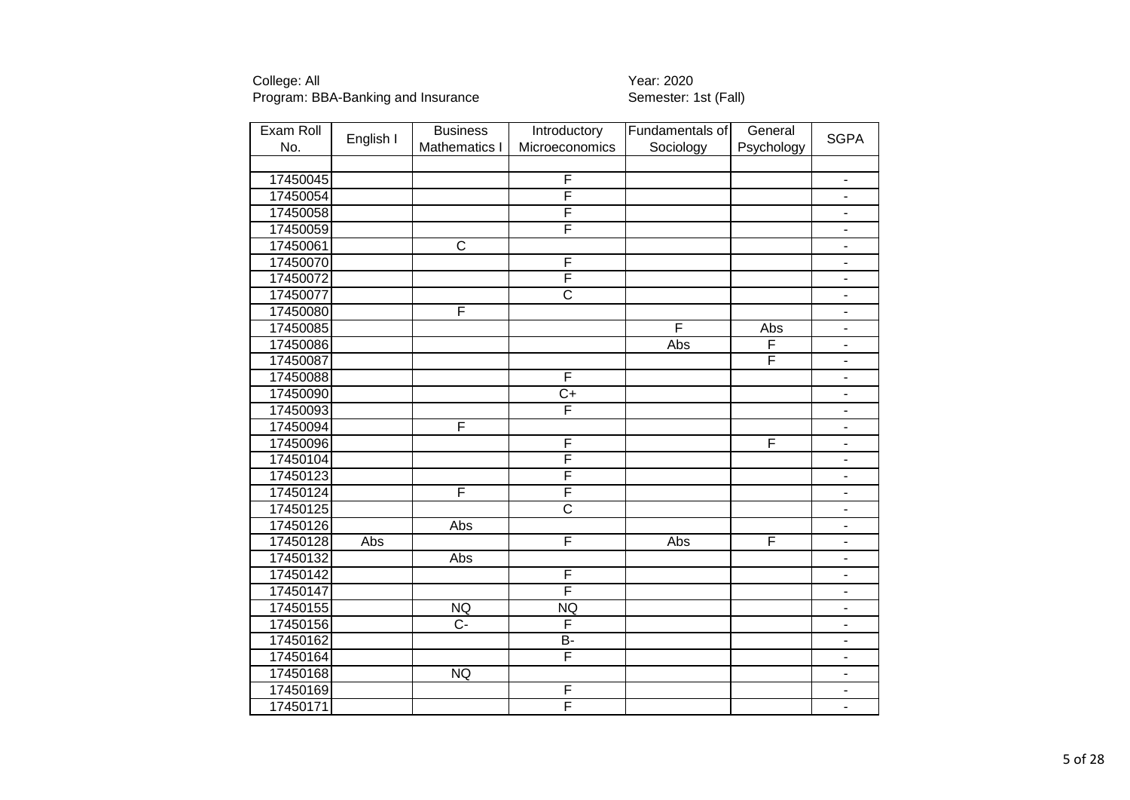| Exam Roll |           | <b>Business</b>       | Introductory            | Fundamentals of | General    |                              |
|-----------|-----------|-----------------------|-------------------------|-----------------|------------|------------------------------|
| No.       | English I | Mathematics I         | Microeconomics          | Sociology       | Psychology | <b>SGPA</b>                  |
|           |           |                       |                         |                 |            |                              |
| 17450045  |           |                       | F                       |                 |            | $\overline{\phantom{a}}$     |
| 17450054  |           |                       | F                       |                 |            | $\blacksquare$               |
| 17450058  |           |                       | F                       |                 |            | $\overline{\phantom{a}}$     |
| 17450059  |           |                       | F                       |                 |            | $\overline{\phantom{0}}$     |
| 17450061  |           | $\overline{\text{c}}$ |                         |                 |            | ÷.                           |
| 17450070  |           |                       | F                       |                 |            |                              |
| 17450072  |           |                       | F                       |                 |            | $\overline{\phantom{a}}$     |
| 17450077  |           |                       | $\overline{\text{c}}$   |                 |            | ÷,                           |
| 17450080  |           | F                     |                         |                 |            | $\overline{\phantom{m}}$     |
| 17450085  |           |                       |                         | F               | Abs        | $\blacksquare$               |
| 17450086  |           |                       |                         | Abs             | F          | $\blacksquare$               |
| 17450087  |           |                       |                         |                 | F          | $\qquad \qquad \blacksquare$ |
| 17450088  |           |                       | F                       |                 |            | $\blacksquare$               |
| 17450090  |           |                       | $\overline{C+}$         |                 |            | $\blacksquare$               |
| 17450093  |           |                       | F                       |                 |            | $\blacksquare$               |
| 17450094  |           | F                     |                         |                 |            | $\overline{\phantom{a}}$     |
| 17450096  |           |                       | F                       |                 | F          | ÷.                           |
| 17450104  |           |                       | $\overline{\mathsf{F}}$ |                 |            | $\blacksquare$               |
| 17450123  |           |                       | F                       |                 |            |                              |
| 17450124  |           | F                     | F                       |                 |            | ÷,                           |
| 17450125  |           |                       | $\overline{\text{c}}$   |                 |            |                              |
| 17450126  |           | Abs                   |                         |                 |            | $\blacksquare$               |
| 17450128  | Abs       |                       | F                       | Abs             | F          | $\qquad \qquad \blacksquare$ |
| 17450132  |           | Abs                   |                         |                 |            | $\blacksquare$               |
| 17450142  |           |                       | $\overline{F}$          |                 |            | $\qquad \qquad \blacksquare$ |
| 17450147  |           |                       | F                       |                 |            | $\blacksquare$               |
| 17450155  |           | NQ                    | <b>NQ</b>               |                 |            | $\blacksquare$               |
| 17450156  |           | $\overline{C}$        | F                       |                 |            | $\overline{\phantom{m}}$     |
| 17450162  |           |                       | $\overline{B}$          |                 |            | $\overline{\phantom{0}}$     |
| 17450164  |           |                       | F                       |                 |            | $\blacksquare$               |
| 17450168  |           | NQ                    |                         |                 |            |                              |
| 17450169  |           |                       | F                       |                 |            |                              |
| 17450171  |           |                       | F                       |                 |            | $\overline{\phantom{0}}$     |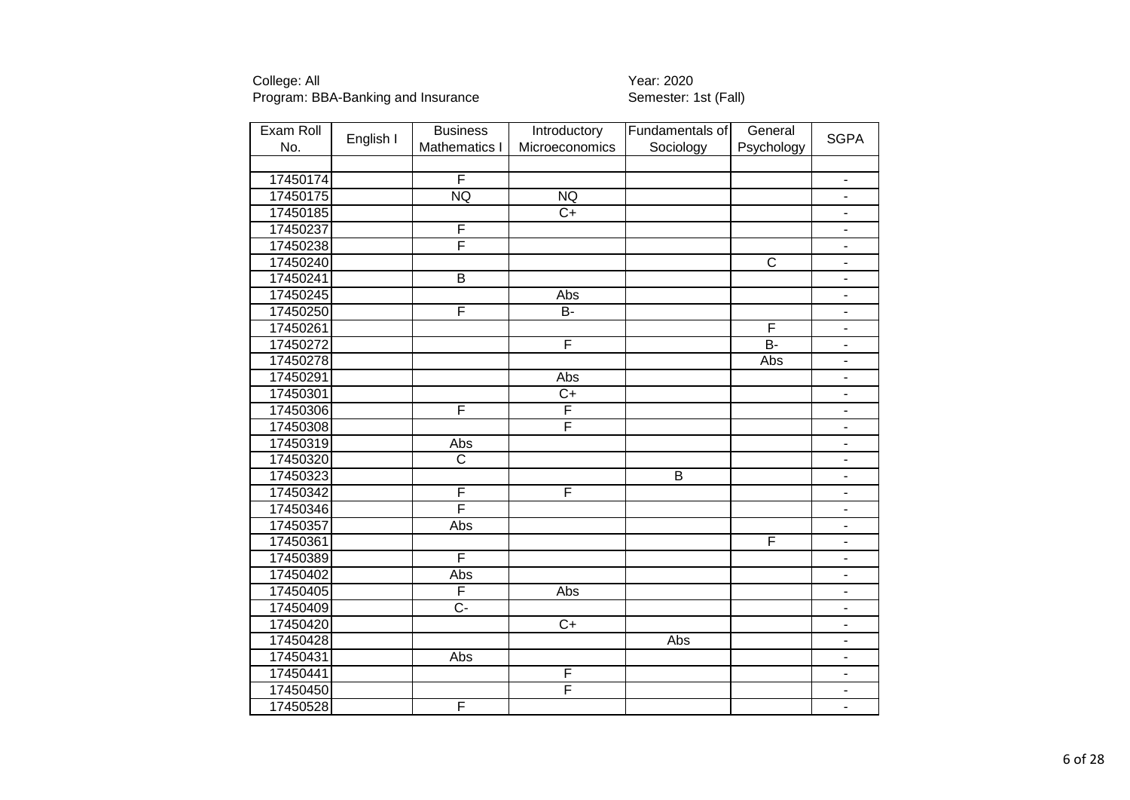| Exam Roll |           | <b>Business</b>         | Introductory    | Fundamentals of | General                 |                              |
|-----------|-----------|-------------------------|-----------------|-----------------|-------------------------|------------------------------|
| No.       | English I | Mathematics I           | Microeconomics  | Sociology       | Psychology              | <b>SGPA</b>                  |
|           |           |                         |                 |                 |                         |                              |
| 17450174  |           | F                       |                 |                 |                         | $\blacksquare$               |
| 17450175  |           | <b>NQ</b>               | <b>NQ</b>       |                 |                         | $\overline{a}$               |
| 17450185  |           |                         | $\overline{C}$  |                 |                         | $\overline{\phantom{0}}$     |
| 17450237  |           | F                       |                 |                 |                         | $\overline{\phantom{a}}$     |
| 17450238  |           | F                       |                 |                 |                         | ÷.                           |
| 17450240  |           |                         |                 |                 | $\overline{\mathsf{C}}$ |                              |
| 17450241  |           | $\overline{B}$          |                 |                 |                         | $\blacksquare$               |
| 17450245  |           |                         | Abs             |                 |                         | $\overline{\phantom{0}}$     |
| 17450250  |           | F                       | <b>B-</b>       |                 |                         | $\overline{\phantom{0}}$     |
| 17450261  |           |                         |                 |                 | F                       | $\qquad \qquad \blacksquare$ |
| 17450272  |           |                         | F               |                 | $B -$                   | $\overline{\phantom{a}}$     |
| 17450278  |           |                         |                 |                 | Abs                     | $\blacksquare$               |
| 17450291  |           |                         | Abs             |                 |                         | $\frac{1}{2}$                |
| 17450301  |           |                         | $\overline{C+}$ |                 |                         | $\blacksquare$               |
| 17450306  |           | F                       | F               |                 |                         | $\qquad \qquad \blacksquare$ |
| 17450308  |           |                         | F               |                 |                         | $\blacksquare$               |
| 17450319  |           | Abs                     |                 |                 |                         | $\overline{\phantom{a}}$     |
| 17450320  |           | $\overline{\text{c}}$   |                 |                 |                         | ÷,                           |
| 17450323  |           |                         |                 | $\overline{B}$  |                         |                              |
| 17450342  |           | F                       | F               |                 |                         |                              |
| 17450346  |           | F                       |                 |                 |                         |                              |
| 17450357  |           | Abs                     |                 |                 |                         | $\overline{\phantom{0}}$     |
| 17450361  |           |                         |                 |                 | F                       | $\overline{\phantom{0}}$     |
| 17450389  |           | $\overline{\mathsf{F}}$ |                 |                 |                         | $\qquad \qquad \blacksquare$ |
| 17450402  |           | Abs                     |                 |                 |                         | $\blacksquare$               |
| 17450405  |           | F                       | Abs             |                 |                         | ۰                            |
| 17450409  |           | $\overline{C}$          |                 |                 |                         | $\blacksquare$               |
| 17450420  |           |                         | $\overline{C+}$ |                 |                         | $\blacksquare$               |
| 17450428  |           |                         |                 | <b>Abs</b>      |                         | $\blacksquare$               |
| 17450431  |           | Abs                     |                 |                 |                         | ٠                            |
| 17450441  |           |                         | F               |                 |                         | $\overline{\phantom{0}}$     |
| 17450450  |           |                         | F               |                 |                         |                              |
| 17450528  |           | F                       |                 |                 |                         | $\blacksquare$               |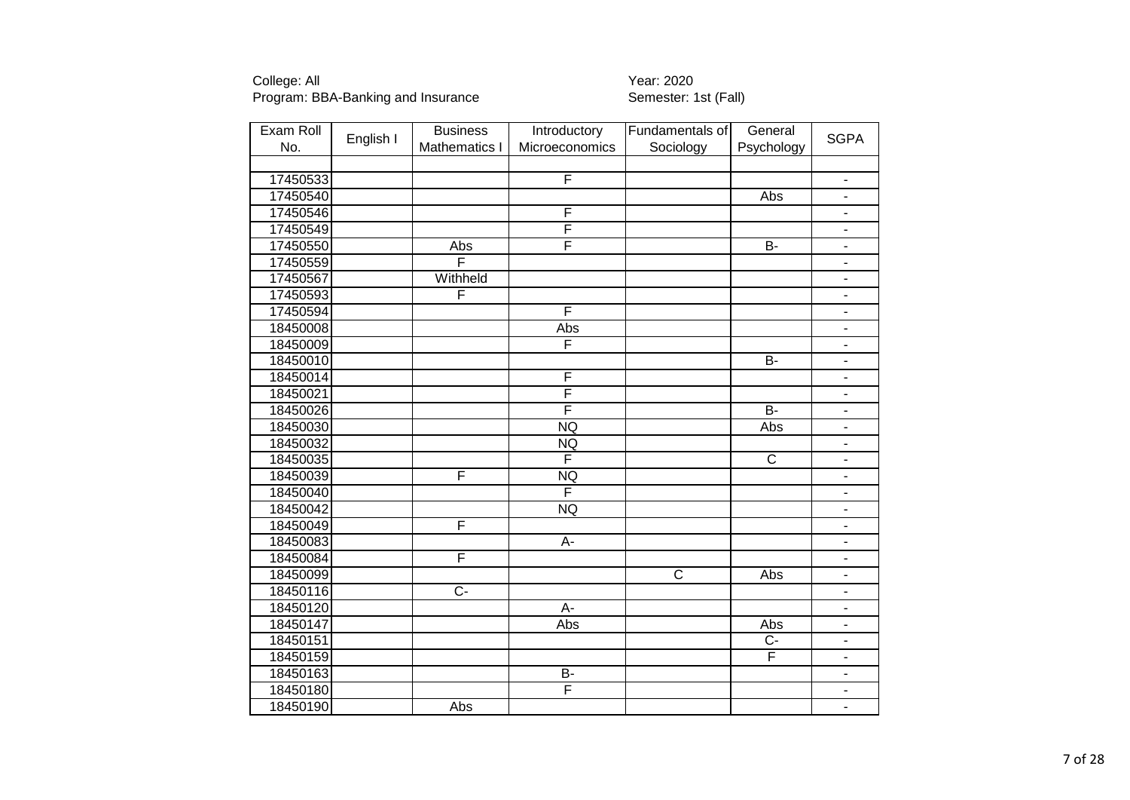| Exam Roll |           | <b>Business</b>  | Introductory            | Fundamentals of | General        | <b>SGPA</b>                  |
|-----------|-----------|------------------|-------------------------|-----------------|----------------|------------------------------|
| No.       | English I | Mathematics I    | Microeconomics          | Sociology       | Psychology     |                              |
|           |           |                  |                         |                 |                |                              |
| 17450533  |           |                  | F                       |                 |                | $\blacksquare$               |
| 17450540  |           |                  |                         |                 | Abs            | $\blacksquare$               |
| 17450546  |           |                  | F                       |                 |                | $\blacksquare$               |
| 17450549  |           |                  | $\overline{F}$          |                 |                | $\overline{\phantom{a}}$     |
| 17450550  |           | Abs              | F                       |                 | $B -$          | $\overline{\phantom{a}}$     |
| 17450559  |           | F                |                         |                 |                | $\blacksquare$               |
| 17450567  |           | Withheld         |                         |                 |                | $\qquad \qquad \blacksquare$ |
| 17450593  |           | F                |                         |                 |                | $\overline{\phantom{a}}$     |
| 17450594  |           |                  | F                       |                 |                | $\blacksquare$               |
| 18450008  |           |                  | Abs                     |                 |                | $\overline{\phantom{a}}$     |
| 18450009  |           |                  | F                       |                 |                | $\blacksquare$               |
| 18450010  |           |                  |                         |                 | $\overline{B}$ | $\blacksquare$               |
| 18450014  |           |                  | F                       |                 |                | $\blacksquare$               |
| 18450021  |           |                  | F                       |                 |                | $\blacksquare$               |
| 18450026  |           |                  | $\overline{\mathsf{F}}$ |                 | <b>B-</b>      | $\blacksquare$               |
| 18450030  |           |                  | <b>NQ</b>               |                 | Abs            | $\blacksquare$               |
| 18450032  |           |                  | <b>NQ</b>               |                 |                | $\overline{\phantom{a}}$     |
| 18450035  |           |                  | F                       |                 | $\overline{C}$ | $\blacksquare$               |
| 18450039  |           | F                | <b>NQ</b>               |                 |                | $\blacksquare$               |
| 18450040  |           |                  | F                       |                 |                | $\blacksquare$               |
| 18450042  |           |                  | <b>NQ</b>               |                 |                | $\blacksquare$               |
| 18450049  |           | F                |                         |                 |                | $\blacksquare$               |
| 18450083  |           |                  | $\overline{A}$ -        |                 |                | $\overline{\phantom{a}}$     |
| 18450084  |           | F                |                         |                 |                | $\blacksquare$               |
| 18450099  |           |                  |                         | $\overline{C}$  | Abs            | $\blacksquare$               |
| 18450116  |           | $\overline{C}$ - |                         |                 |                | $\qquad \qquad \blacksquare$ |
| 18450120  |           |                  | A-                      |                 |                | $\blacksquare$               |
| 18450147  |           |                  | Abs                     |                 | Abs            | $\blacksquare$               |
| 18450151  |           |                  |                         |                 | Ċ-             | $\overline{\phantom{a}}$     |
| 18450159  |           |                  |                         |                 | F              | $\blacksquare$               |
| 18450163  |           |                  | <b>B-</b>               |                 |                | $\overline{\phantom{a}}$     |
| 18450180  |           |                  | F                       |                 |                |                              |
| 18450190  |           | Abs              |                         |                 |                | $\blacksquare$               |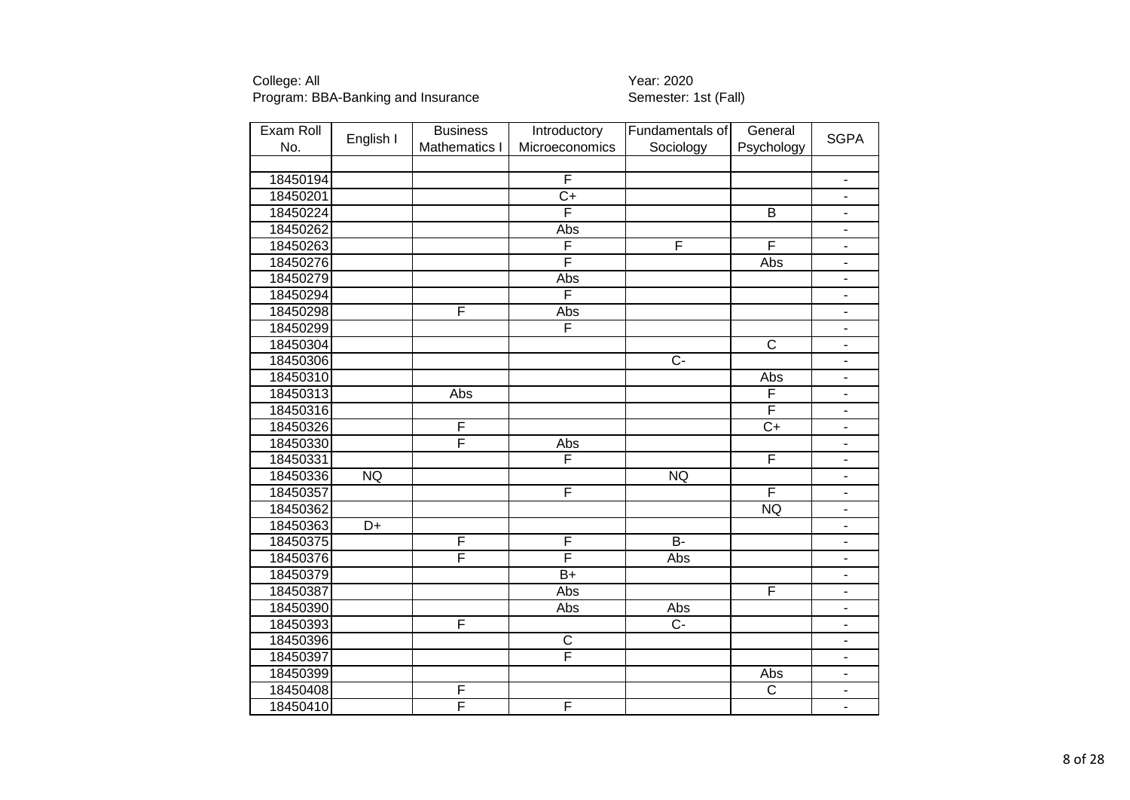| Exam Roll |           | <b>Business</b> | Introductory            | Fundamentals of  | General                 |                          |
|-----------|-----------|-----------------|-------------------------|------------------|-------------------------|--------------------------|
| No.       | English I | Mathematics I   | Microeconomics          | Sociology        | Psychology              | <b>SGPA</b>              |
|           |           |                 |                         |                  |                         |                          |
| 18450194  |           |                 | $\overline{F}$          |                  |                         | $\blacksquare$           |
| 18450201  |           |                 | $\overline{C+}$         |                  |                         | $\blacksquare$           |
| 18450224  |           |                 | F                       |                  | $\overline{B}$          | ÷,                       |
| 18450262  |           |                 | Abs                     |                  |                         | $\overline{\phantom{0}}$ |
| 18450263  |           |                 | F                       | F                | F                       | ÷,                       |
| 18450276  |           |                 | F                       |                  | Abs                     |                          |
| 18450279  |           |                 | Abs                     |                  |                         | ä,                       |
| 18450294  |           |                 | F                       |                  |                         | ÷,                       |
| 18450298  |           | F               | Abs                     |                  |                         | ÷,                       |
| 18450299  |           |                 | F                       |                  |                         | ٠                        |
| 18450304  |           |                 |                         |                  | $\overline{\text{c}}$   | $\overline{\phantom{a}}$ |
| 18450306  |           |                 |                         | $\overline{C}$ - |                         | $\blacksquare$           |
| 18450310  |           |                 |                         |                  | Abs                     | $\overline{\phantom{a}}$ |
| 18450313  |           | Abs             |                         |                  | F                       | $\blacksquare$           |
| 18450316  |           |                 |                         |                  | $\overline{\mathsf{F}}$ | ÷,                       |
| 18450326  |           | F               |                         |                  | $\overline{C+}$         | $\overline{\phantom{0}}$ |
| 18450330  |           | F               | Abs                     |                  |                         | $\overline{\phantom{0}}$ |
| 18450331  |           |                 | F                       |                  | $\overline{\mathsf{F}}$ | ÷.                       |
| 18450336  | <b>NQ</b> |                 |                         | <b>NQ</b>        |                         | $\overline{\phantom{0}}$ |
| 18450357  |           |                 | F                       |                  | F                       | L.                       |
| 18450362  |           |                 |                         |                  | <b>NQ</b>               | ÷,                       |
| 18450363  | D+        |                 |                         |                  |                         | ÷,                       |
| 18450375  |           | F               | F                       | $B -$            |                         | ÷,                       |
| 18450376  |           | F               | F                       | Abs              |                         | $\overline{\phantom{0}}$ |
| 18450379  |           |                 | $\overline{B+}$         |                  |                         | $\blacksquare$           |
| 18450387  |           |                 | <b>Abs</b>              |                  | F                       | -                        |
| 18450390  |           |                 | Abs                     | Abs              |                         | $\overline{\phantom{0}}$ |
| 18450393  |           | F               |                         | $\overline{C}$   |                         | ÷,                       |
| 18450396  |           |                 | $\overline{\mathsf{C}}$ |                  |                         | $\overline{\phantom{0}}$ |
| 18450397  |           |                 | F                       |                  |                         | Ξ.                       |
| 18450399  |           |                 |                         |                  | Abs                     | $\overline{\phantom{0}}$ |
| 18450408  |           | F               |                         |                  | $\overline{\text{c}}$   | $\overline{\phantom{0}}$ |
| 18450410  |           | F               | F                       |                  |                         | Ξ.                       |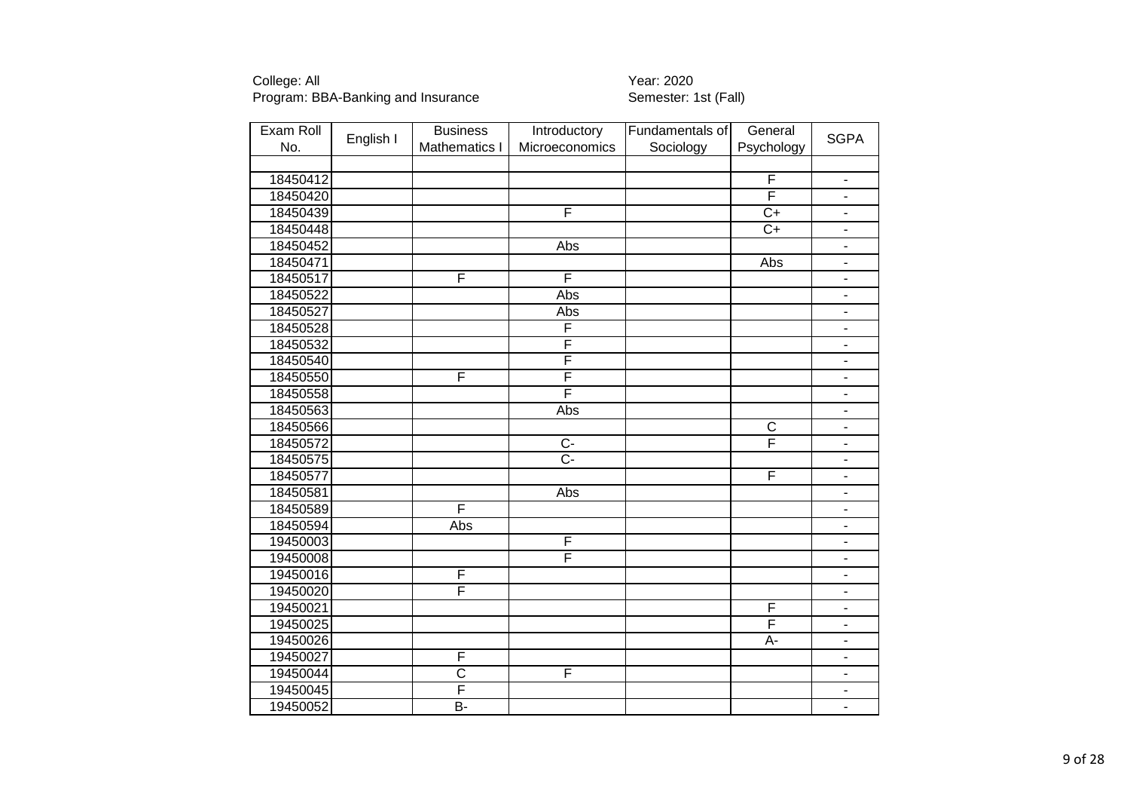| Exam Roll |           | <b>Business</b>       | Introductory            | Fundamentals of | General                 |                              |
|-----------|-----------|-----------------------|-------------------------|-----------------|-------------------------|------------------------------|
| No.       | English I | Mathematics I         | Microeconomics          | Sociology       | Psychology              | <b>SGPA</b>                  |
|           |           |                       |                         |                 |                         |                              |
| 18450412  |           |                       |                         |                 | F                       | $\overline{\phantom{a}}$     |
| 18450420  |           |                       |                         |                 | F                       | $\blacksquare$               |
| 18450439  |           |                       | F                       |                 | $\overline{C+}$         | $\blacksquare$               |
| 18450448  |           |                       |                         |                 | $C+$                    | $\blacksquare$               |
| 18450452  |           |                       | Abs                     |                 |                         | ä,                           |
| 18450471  |           |                       |                         |                 | Abs                     | $\blacksquare$               |
| 18450517  |           | F                     | F                       |                 |                         | $\overline{\phantom{a}}$     |
| 18450522  |           |                       | Abs                     |                 |                         | $\overline{\phantom{0}}$     |
| 18450527  |           |                       | Abs                     |                 |                         | $\qquad \qquad \blacksquare$ |
| 18450528  |           |                       | F                       |                 |                         | $\overline{\phantom{0}}$     |
| 18450532  |           |                       | F                       |                 |                         | $\overline{\phantom{a}}$     |
| 18450540  |           |                       | F                       |                 |                         | $\overline{\phantom{a}}$     |
| 18450550  |           | F                     | F                       |                 |                         | $\overline{\phantom{0}}$     |
| 18450558  |           |                       | $\overline{\mathsf{F}}$ |                 |                         | $\blacksquare$               |
| 18450563  |           |                       | Abs                     |                 |                         | $\blacksquare$               |
| 18450566  |           |                       |                         |                 | $\overline{C}$          | $\overline{\phantom{a}}$     |
| 18450572  |           |                       | $\overline{C}$          |                 | F                       | ÷.                           |
| 18450575  |           |                       | $\overline{C}$ -        |                 |                         | ÷,                           |
| 18450577  |           |                       |                         |                 | F                       | $\blacksquare$               |
| 18450581  |           |                       | <b>Abs</b>              |                 |                         | ä,                           |
| 18450589  |           | F                     |                         |                 |                         |                              |
| 18450594  |           | Abs                   |                         |                 |                         | $\overline{\phantom{m}}$     |
| 19450003  |           |                       | F                       |                 |                         | $\qquad \qquad \blacksquare$ |
| 19450008  |           |                       | F                       |                 |                         | $\overline{\phantom{a}}$     |
| 19450016  |           | F                     |                         |                 |                         | ۰                            |
| 19450020  |           | F                     |                         |                 |                         | $\blacksquare$               |
| 19450021  |           |                       |                         |                 | $\overline{F}$          | $\blacksquare$               |
| 19450025  |           |                       |                         |                 | $\overline{\mathsf{F}}$ | $\overline{\phantom{0}}$     |
| 19450026  |           |                       |                         |                 | A-                      | $\overline{\phantom{0}}$     |
| 19450027  |           | F                     |                         |                 |                         | $\blacksquare$               |
| 19450044  |           | $\overline{\text{c}}$ | F                       |                 |                         | $\qquad \qquad \blacksquare$ |
| 19450045  |           | F                     |                         |                 |                         | $\blacksquare$               |
| 19450052  |           | $\overline{B}$        |                         |                 |                         | $\overline{\phantom{a}}$     |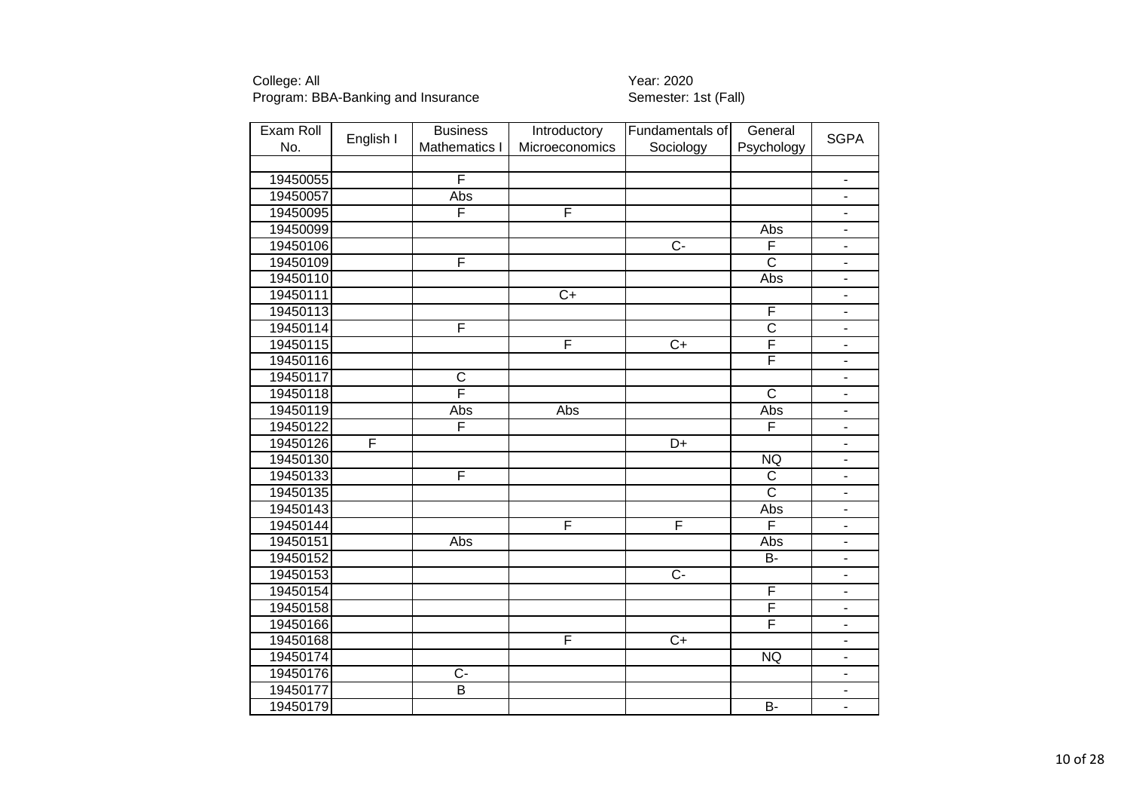| Exam Roll |           | <b>Business</b>         | Introductory    | Fundamentals of  | General                 |                              |
|-----------|-----------|-------------------------|-----------------|------------------|-------------------------|------------------------------|
| No.       | English I | Mathematics I           | Microeconomics  | Sociology        | Psychology              | <b>SGPA</b>                  |
|           |           |                         |                 |                  |                         |                              |
| 19450055  |           | F                       |                 |                  |                         | $\overline{\phantom{a}}$     |
| 19450057  |           | <b>Abs</b>              |                 |                  |                         | $\blacksquare$               |
| 19450095  |           | F                       | F               |                  |                         | $\blacksquare$               |
| 19450099  |           |                         |                 |                  | Abs                     | $\blacksquare$               |
| 19450106  |           |                         |                 | $\overline{C}$ - | F                       | ÷.                           |
| 19450109  |           | F                       |                 |                  | $\overline{\text{c}}$   | $\qquad \qquad \blacksquare$ |
| 19450110  |           |                         |                 |                  | Abs                     | $\blacksquare$               |
| 19450111  |           |                         | $\overline{C+}$ |                  |                         | $\blacksquare$               |
| 19450113  |           |                         |                 |                  | F                       | $\overline{\phantom{m}}$     |
| 19450114  |           | F                       |                 |                  | $rac{C}{F}$             | $\blacksquare$               |
| 19450115  |           |                         | F               | $\overline{C+}$  |                         | $\blacksquare$               |
| 19450116  |           |                         |                 |                  | F                       | $\blacksquare$               |
| 19450117  |           | $\overline{C}$          |                 |                  |                         | $\blacksquare$               |
| 19450118  |           | F                       |                 |                  | $\overline{\text{c}}$   | $\blacksquare$               |
| 19450119  |           | Abs                     | Abs             |                  | Abs                     | $\blacksquare$               |
| 19450122  |           | F                       |                 |                  | F                       | $\blacksquare$               |
| 19450126  | F         |                         |                 | $\overline{D+}$  |                         | $\mathbb{Z}^{\mathbb{Z}}$    |
| 19450130  |           |                         |                 |                  | <b>NQ</b>               | $\blacksquare$               |
| 19450133  |           | F                       |                 |                  | $\mathsf{C}$            | $\overline{\phantom{a}}$     |
| 19450135  |           |                         |                 |                  | $\overline{\text{c}}$   | $\overline{\phantom{a}}$     |
| 19450143  |           |                         |                 |                  | Abs                     | $\blacksquare$               |
| 19450144  |           |                         | F               | F                | F                       | $\blacksquare$               |
| 19450151  |           | Abs                     |                 |                  | Abs                     | $\blacksquare$               |
| 19450152  |           |                         |                 |                  | <b>B-</b>               | $\blacksquare$               |
| 19450153  |           |                         |                 | $\overline{C}$   |                         | $\blacksquare$               |
| 19450154  |           |                         |                 |                  | F                       | $\blacksquare$               |
| 19450158  |           |                         |                 |                  | $\overline{F}$          | $\blacksquare$               |
| 19450166  |           |                         |                 |                  | $\overline{\mathsf{F}}$ | $\blacksquare$               |
| 19450168  |           |                         | F               | $\overline{C+}$  |                         | $\blacksquare$               |
| 19450174  |           |                         |                 |                  | NQ                      | ÷,                           |
| 19450176  |           | $\overline{C}$          |                 |                  |                         | $\overline{\phantom{0}}$     |
| 19450177  |           | $\overline{\mathsf{B}}$ |                 |                  |                         | $\overline{\phantom{m}}$     |
| 19450179  |           |                         |                 |                  | $B -$                   | $\overline{\phantom{0}}$     |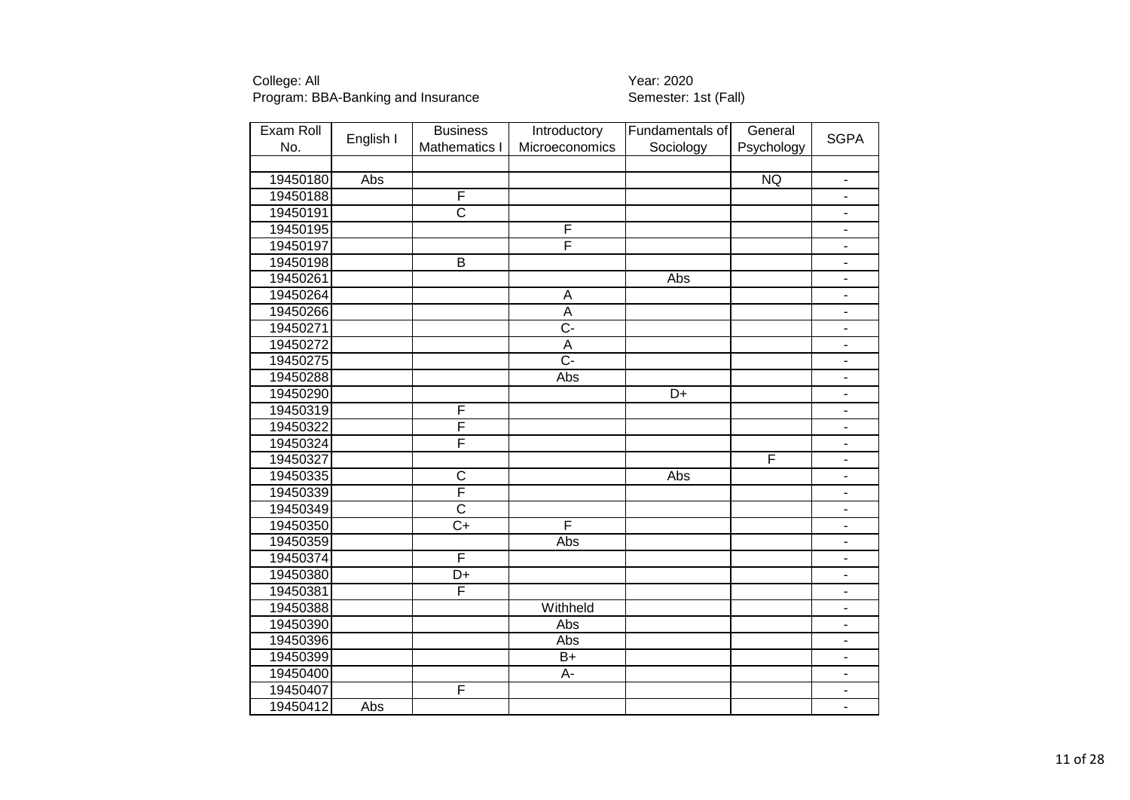| Exam Roll |           | <b>Business</b>         | Introductory     | Fundamentals of | General                 |                              |
|-----------|-----------|-------------------------|------------------|-----------------|-------------------------|------------------------------|
| No.       | English I | Mathematics I           | Microeconomics   | Sociology       | Psychology              | <b>SGPA</b>                  |
|           |           |                         |                  |                 |                         |                              |
| 19450180  | Abs       |                         |                  |                 | NQ                      | $\blacksquare$               |
| 19450188  |           | F                       |                  |                 |                         | $\overline{\phantom{0}}$     |
| 19450191  |           | $\overline{\text{c}}$   |                  |                 |                         | $\overline{\phantom{0}}$     |
| 19450195  |           |                         | F                |                 |                         | Ξ.                           |
| 19450197  |           |                         | F                |                 |                         | $\blacksquare$               |
| 19450198  |           | $\overline{\mathsf{B}}$ |                  |                 |                         | $\overline{\phantom{0}}$     |
| 19450261  |           |                         |                  | Abs             |                         | ä,                           |
| 19450264  |           |                         | A                |                 |                         | ÷,                           |
| 19450266  |           |                         | $\overline{A}$   |                 |                         | ÷,                           |
| 19450271  |           |                         | $\overline{C}$   |                 |                         | ٠                            |
| 19450272  |           |                         | $\overline{A}$   |                 |                         | $\qquad \qquad \blacksquare$ |
| 19450275  |           |                         | $\overline{C}$ - |                 |                         | ÷                            |
| 19450288  |           |                         | Abs              |                 |                         | $\overline{\phantom{0}}$     |
| 19450290  |           |                         |                  | $\overline{D+}$ |                         | $\overline{\phantom{0}}$     |
| 19450319  |           | F                       |                  |                 |                         | $\blacksquare$               |
| 19450322  |           | F                       |                  |                 |                         | ÷,                           |
| 19450324  |           | F                       |                  |                 |                         | ÷.                           |
| 19450327  |           |                         |                  |                 | $\overline{\mathsf{F}}$ | ÷.                           |
| 19450335  |           | $\overline{\text{c}}$   |                  | Abs             |                         |                              |
| 19450339  |           | $\overline{\mathsf{F}}$ |                  |                 |                         |                              |
| 19450349  |           | $\overline{\text{c}}$   |                  |                 |                         |                              |
| 19450350  |           | $\overline{C+}$         | F                |                 |                         |                              |
| 19450359  |           |                         | Abs              |                 |                         | ÷,                           |
| 19450374  |           | F                       |                  |                 |                         | $\qquad \qquad \blacksquare$ |
| 19450380  |           | D+                      |                  |                 |                         | $\overline{\phantom{0}}$     |
| 19450381  |           | F                       |                  |                 |                         | ÷,                           |
| 19450388  |           |                         | Withheld         |                 |                         | $\overline{\phantom{0}}$     |
| 19450390  |           |                         | Abs              |                 |                         | ÷,                           |
| 19450396  |           |                         | Abs              |                 |                         | $\overline{\phantom{0}}$     |
| 19450399  |           |                         | $\overline{B+}$  |                 |                         | $\overline{\phantom{0}}$     |
| 19450400  |           |                         | A-               |                 |                         |                              |
| 19450407  |           | F                       |                  |                 |                         |                              |
| 19450412  | Abs       |                         |                  |                 |                         | $\overline{\phantom{0}}$     |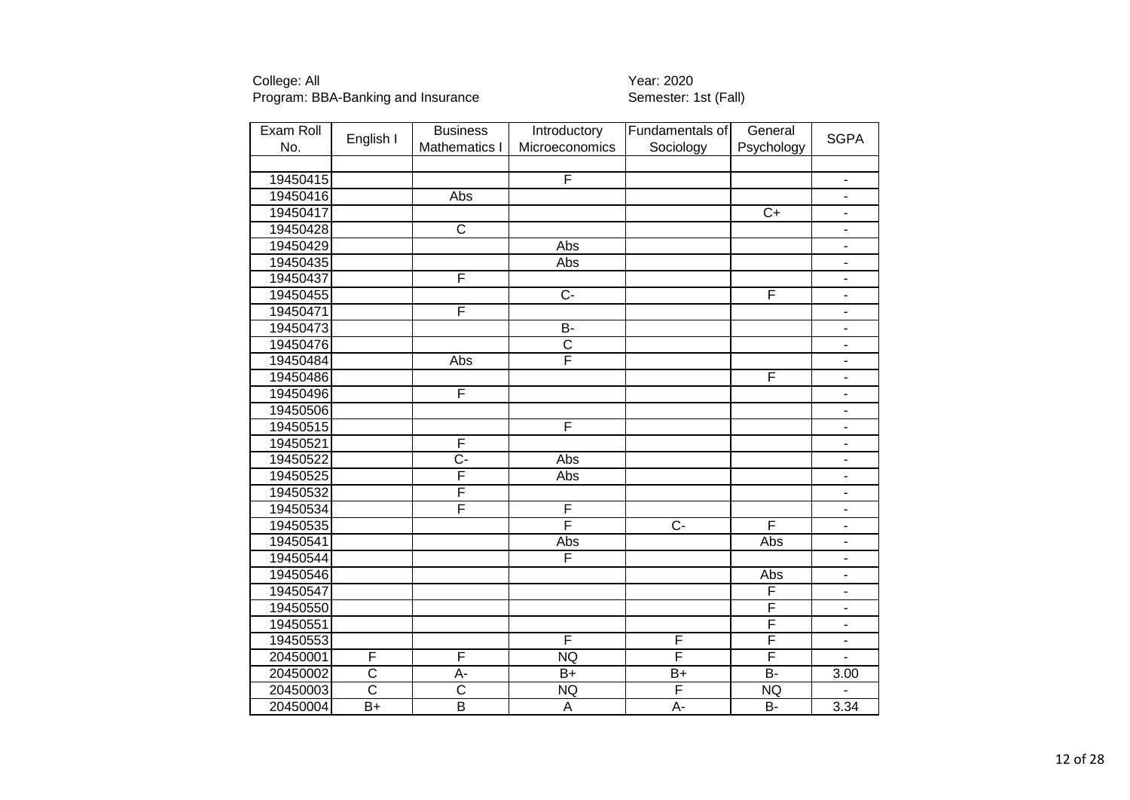| Exam Roll | English I             | <b>Business</b>         | Introductory              | Fundamentals of | General                 | <b>SGPA</b>                  |
|-----------|-----------------------|-------------------------|---------------------------|-----------------|-------------------------|------------------------------|
| No.       |                       | <b>Mathematics I</b>    | Microeconomics            | Sociology       | Psychology              |                              |
|           |                       |                         |                           |                 |                         |                              |
| 19450415  |                       |                         | F                         |                 |                         | $\blacksquare$               |
| 19450416  |                       | Abs                     |                           |                 |                         | $\blacksquare$               |
| 19450417  |                       |                         |                           |                 | $\overline{C+}$         | $\overline{\phantom{a}}$     |
| 19450428  |                       | $\overline{\text{c}}$   |                           |                 |                         | $\Box$                       |
| 19450429  |                       |                         | Abs                       |                 |                         | $\blacksquare$               |
| 19450435  |                       |                         | Abs                       |                 |                         | $\overline{\phantom{a}}$     |
| 19450437  |                       | F                       |                           |                 |                         | $\blacksquare$               |
| 19450455  |                       |                         | $\overline{C}$            |                 | F                       | $\overline{\phantom{a}}$     |
| 19450471  |                       | F                       |                           |                 |                         | $\overline{\phantom{a}}$     |
| 19450473  |                       |                         | $\overline{B}$            |                 |                         | $\blacksquare$               |
| 19450476  |                       |                         | $\overline{\text{c}}$     |                 |                         | $\blacksquare$               |
| 19450484  |                       | Abs                     | $\overline{\mathsf{F}}$   |                 |                         | $\blacksquare$               |
| 19450486  |                       |                         |                           |                 | F                       | $\blacksquare$               |
| 19450496  |                       | F                       |                           |                 |                         | $\blacksquare$               |
| 19450506  |                       |                         |                           |                 |                         | $\blacksquare$               |
| 19450515  |                       |                         | $\overline{F}$            |                 |                         | $\blacksquare$               |
| 19450521  |                       | F                       |                           |                 |                         | $\blacksquare$               |
| 19450522  |                       | $\overline{C}$ -        | Abs                       |                 |                         | $\blacksquare$               |
| 19450525  |                       | F                       | Abs                       |                 |                         | $\blacksquare$               |
| 19450532  |                       | F                       |                           |                 |                         | $\blacksquare$               |
| 19450534  |                       | F                       | F                         |                 |                         | $\blacksquare$               |
| 19450535  |                       |                         | F                         | $\overline{C}$  | F                       | $\blacksquare$               |
| 19450541  |                       |                         | Abs                       |                 | Abs                     | $\blacksquare$               |
| 19450544  |                       |                         | F                         |                 |                         | $\overline{\phantom{a}}$     |
| 19450546  |                       |                         |                           |                 | Abs                     | $\overline{\phantom{a}}$     |
| 19450547  |                       |                         |                           |                 | F                       | $\qquad \qquad \blacksquare$ |
| 19450550  |                       |                         |                           |                 | $\overline{\mathsf{F}}$ | $\blacksquare$               |
| 19450551  |                       |                         |                           |                 | F                       | $\blacksquare$               |
| 19450553  |                       |                         | F                         | F               | F                       | $\blacksquare$               |
| 20450001  | F                     | F                       | <b>NQ</b>                 | F               | F                       | $\overline{a}$               |
| 20450002  | $\overline{\text{c}}$ | A-                      | $\overline{B+}$           | $B+$            | $B -$                   | 3.00                         |
| 20450003  | $\overline{\text{c}}$ | $\overline{\text{c}}$   | NQ                        | F               | NQ                      |                              |
| 20450004  | $B+$                  | $\overline{\mathsf{B}}$ | $\boldsymbol{\mathsf{A}}$ | A-              | <b>B-</b>               | 3.34                         |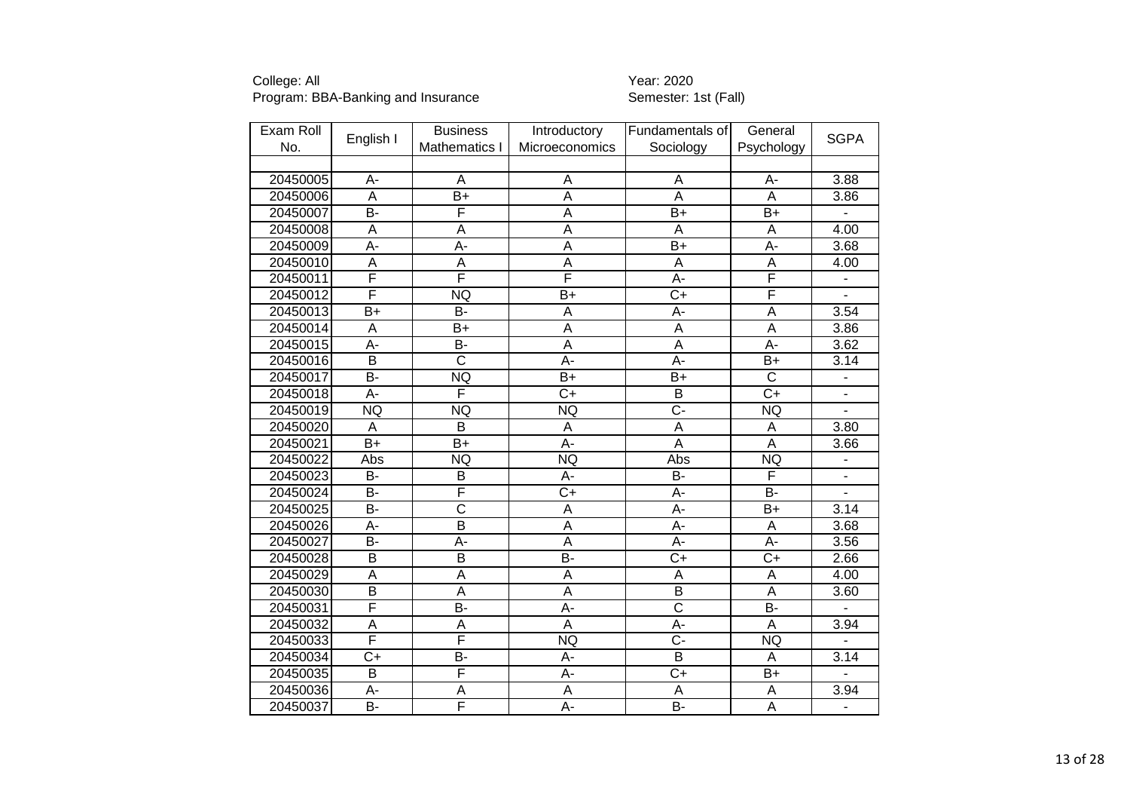| Exam Roll |                         | <b>Business</b>       | Introductory            | Fundamentals of         | General               |                          |
|-----------|-------------------------|-----------------------|-------------------------|-------------------------|-----------------------|--------------------------|
| No.       | English I               | Mathematics I         | Microeconomics          | Sociology               | Psychology            | <b>SGPA</b>              |
|           |                         |                       |                         |                         |                       |                          |
| 20450005  | A-                      | A                     | Α                       | A                       | А-                    | 3.88                     |
| 20450006  | $\overline{A}$          | $\overline{B+}$       | $\overline{\mathsf{A}}$ | $\overline{A}$          | $\overline{A}$        | 3.86                     |
| 20450007  | B-                      | F                     | A                       | $B+$                    | $B+$                  |                          |
| 20450008  | A                       | A                     | A                       | A                       | A                     | 4.00                     |
| 20450009  | $A -$                   | $\overline{A}$ -      | $\overline{\mathsf{A}}$ | $\overline{B}$          | $\overline{A}$ -      | 3.68                     |
| 20450010  | $\overline{A}$          | $\overline{A}$        | $\overline{A}$          | A                       | $\overline{A}$        | 4.00                     |
| 20450011  | F                       | F                     | F                       | A-                      | F                     |                          |
| 20450012  | F                       | NQ                    | $\overline{B}$          | $\overline{C+}$         | F                     | $\overline{a}$           |
| 20450013  | $\overline{B+}$         | <b>B-</b>             | A                       | A-                      | $\overline{A}$        | 3.54                     |
| 20450014  | A                       | $B+$                  | A                       | A                       | A                     | 3.86                     |
| 20450015  | $\overline{A}$ -        | B-                    | Ā                       | $\overline{\mathsf{A}}$ | $A -$                 | 3.62                     |
| 20450016  | $\overline{\mathsf{B}}$ | $\overline{\text{c}}$ | Ā-                      | Ā-                      | $\overline{B+}$       | 3.14                     |
| 20450017  | $\overline{B}$          | NQ                    | $\overline{B+}$         | $\overline{B+}$         | $\overline{\text{c}}$ | ÷                        |
| 20450018  | A-                      | F                     | $\overline{C}$          | B                       | $\overline{C}$        | $\overline{a}$           |
| 20450019  | NQ                      | NQ                    | <b>NQ</b>               | $\overline{C}$          | <b>NQ</b>             | L                        |
| 20450020  | A                       | $\overline{B}$        | A                       | A                       | A                     | 3.80                     |
| 20450021  | $\overline{B+}$         | $\overline{B}$        | Ā-                      | $\overline{A}$          | $\overline{A}$        | $\overline{3.66}$        |
| 20450022  | Abs                     | NQ                    | <b>NQ</b>               | Abs                     | <b>NQ</b>             |                          |
| 20450023  | <b>B-</b>               | B                     | A-                      | <b>B-</b>               | F                     |                          |
| 20450024  | $\overline{B}$ -        | F                     | $\overline{C+}$         | $\overline{A}$ -        | $\overline{B}$        |                          |
| 20450025  | B-                      | $\overline{\text{c}}$ | $\overline{\mathsf{A}}$ | Ā-                      | $\overline{B+}$       | 3.14                     |
| 20450026  | A-                      | $\overline{B}$        | $\overline{A}$          | A-                      | $\overline{A}$        | 3.68                     |
| 20450027  | B-                      | $\overline{A}$ -      | $\overline{A}$          | A-                      | $\overline{A}$ -      | 3.56                     |
| 20450028  | $\overline{B}$          | $\overline{B}$        | $\overline{B}$          | $\overline{C}$          | $\overline{C+}$       | 2.66                     |
| 20450029  | $\overline{A}$          | $\overline{A}$        | A                       | A                       | A                     | 4.00                     |
| 20450030  | $\overline{\mathsf{B}}$ | A                     | Α                       | $\overline{B}$          | A                     | 3.60                     |
| 20450031  | F                       | B-                    | A-                      | $\overline{\text{c}}$   | <b>B-</b>             |                          |
| 20450032  | A                       | A                     | A                       | A-                      | $\overline{A}$        | 3.94                     |
| 20450033  | F                       | F                     | <b>NQ</b>               | $\overline{C}$          | <b>NQ</b>             |                          |
| 20450034  | $C+$                    | B-                    | A-                      | B                       | A                     | 3.14                     |
| 20450035  | $\overline{\mathsf{B}}$ | F                     | $\overline{A}$ -        | $\overline{C+}$         | $B+$                  |                          |
| 20450036  | A-                      | A                     | A                       | A                       | A                     | 3.94                     |
| 20450037  | $\overline{B}$          | F                     | A-                      | $\overline{B}$          | A                     | $\overline{\phantom{0}}$ |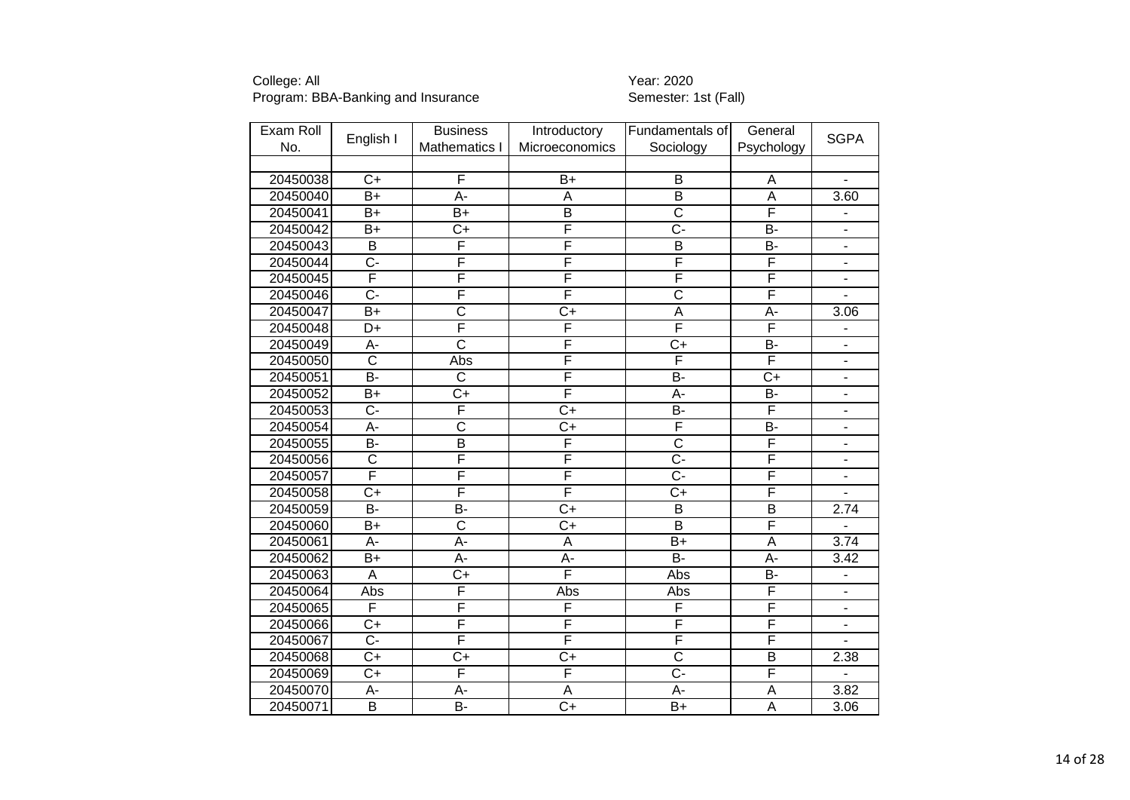| Exam Roll |                       | <b>Business</b>         | Introductory     | Fundamentals of         | General                 |                          |
|-----------|-----------------------|-------------------------|------------------|-------------------------|-------------------------|--------------------------|
| No.       | English I             | Mathematics I           | Microeconomics   | Sociology               | Psychology              | <b>SGPA</b>              |
|           |                       |                         |                  |                         |                         |                          |
| 20450038  | $\overline{C}$        | F                       | $B+$             | B                       | A                       | $\blacksquare$           |
| 20450040  | $\overline{B+}$       | A-                      | A                | $\overline{B}$          | $\overline{\mathsf{A}}$ | 3.60                     |
| 20450041  | $B+$                  | $B+$                    | $\overline{B}$   | $\overline{\text{c}}$   | F                       | $\blacksquare$           |
| 20450042  | $B+$                  | $C+$                    | F                | $C -$                   | $\overline{B}$          | $\blacksquare$           |
| 20450043  | B                     | F                       | F                | $\overline{B}$          | B-                      | $\overline{a}$           |
| 20450044  | $\overline{C}$ -      | F                       | F                | F                       | F                       | $\blacksquare$           |
| 20450045  | F                     | F                       | F                | F                       | F                       |                          |
| 20450046  | $\overline{C}$ -      | F                       | F                | $\overline{\text{c}}$   | F                       |                          |
| 20450047  | $B+$                  | $\overline{\text{c}}$   | $\overline{C+}$  | $\overline{A}$          | A-                      | 3.06                     |
| 20450048  | D+                    | F                       | F                | F                       | F                       |                          |
| 20450049  | A-                    | $\overline{\mathsf{c}}$ | F                | $\overline{C+}$         | $\overline{B}$          | $\overline{\phantom{a}}$ |
| 20450050  | $\overline{\text{c}}$ | Abs                     | F                | F                       | F                       | $\overline{\phantom{a}}$ |
| 20450051  | $\overline{B}$        | $\overline{C}$          | F                | $B -$                   | $\overline{C}$          | $\overline{\phantom{a}}$ |
| 20450052  | $B+$                  | $\overline{C+}$         | F                | A-                      | B-                      | $\overline{\phantom{a}}$ |
| 20450053  | Ċ-                    | F                       | $\overline{C+}$  | $B -$                   | F                       | $\overline{\phantom{a}}$ |
| 20450054  | $\overline{A}$ -      | $\overline{\text{c}}$   | $\overline{C}$   | F                       | $\overline{B}$          | $\overline{\phantom{a}}$ |
| 20450055  | B-                    | $\overline{\mathsf{B}}$ | F                | $\overline{\text{c}}$   | F                       | $\overline{\phantom{a}}$ |
| 20450056  | $\overline{\text{c}}$ | F                       | F                | $\overline{C}$ -        | F                       |                          |
| 20450057  | F                     | F                       | F                | $\overline{C}$ -        | F                       |                          |
| 20450058  | $\overline{C+}$       | F                       | F                | $\overline{C+}$         | F                       |                          |
| 20450059  | B-                    | B-                      | $\overline{C+}$  | $\overline{B}$          | $\overline{\mathsf{B}}$ | 2.74                     |
| 20450060  | $B+$                  | $\overline{\text{c}}$   | $\overline{C+}$  | $\overline{\mathsf{B}}$ | F                       |                          |
| 20450061  | A-                    | $\overline{A}$ -        | $\overline{A}$   | $B+$                    | $\overline{\mathsf{A}}$ | 3.74                     |
| 20450062  | $B+$                  | A-                      | $\overline{A}$ - | $B -$                   | A-                      | 3.42                     |
| 20450063  | A                     | $\overline{C}$          | F                | Abs                     | $\overline{B}$          | $\blacksquare$           |
| 20450064  | Abs                   | F                       | Abs              | Abs                     | F                       | $\overline{\phantom{a}}$ |
| 20450065  | F                     | F                       | F                | $\overline{F}$          | F                       | $\blacksquare$           |
| 20450066  | $C+$                  | F                       | F                | F                       | F                       | $\overline{\phantom{a}}$ |
| 20450067  | $\overline{C}$ -      | F                       | F                | F                       | F                       | $\blacksquare$           |
| 20450068  | $C+$                  | $C+$                    | $C+$             | C                       | B                       | 2.38                     |
| 20450069  | $C+$                  | F                       | F                | Ċ-                      | F                       |                          |
| 20450070  | A-                    | А-                      | $\overline{A}$   | $\overline{A}$ -        | A                       | 3.82                     |
| 20450071  | $\overline{B}$        | $B -$                   | $\overline{C+}$  | $B+$                    | $\overline{A}$          | 3.06                     |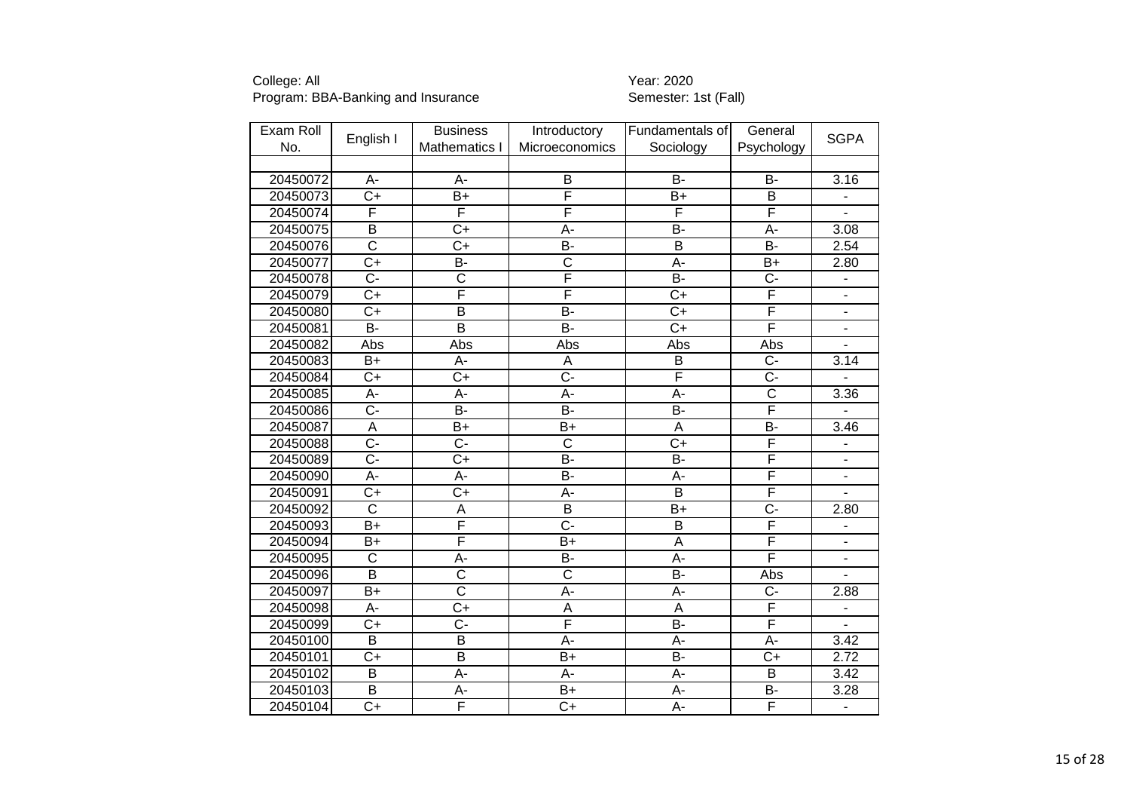| Exam Roll |                       | <b>Business</b>         | Introductory            | Fundamentals of         | General                 |                              |
|-----------|-----------------------|-------------------------|-------------------------|-------------------------|-------------------------|------------------------------|
| No.       | English I             | Mathematics I           | Microeconomics          | Sociology               | Psychology              | <b>SGPA</b>                  |
|           |                       |                         |                         |                         |                         |                              |
| 20450072  | A-                    | A-                      | B                       | <b>B-</b>               | <b>B-</b>               | 3.16                         |
| 20450073  | $\overline{C+}$       | $\overline{B}$          | F                       | $\overline{B+}$         | $\overline{\mathsf{B}}$ | $\overline{\phantom{a}}$     |
| 20450074  | F                     | F                       | F                       | $\overline{\mathsf{F}}$ | F                       | L.                           |
| 20450075  | B                     | $C+$                    | A-                      | <b>B-</b>               | A-                      | 3.08                         |
| 20450076  | $\overline{\text{c}}$ | $\overline{C+}$         | B-                      | $\overline{B}$          | $\overline{B}$          | 2.54                         |
| 20450077  | $\overline{C+}$       | B-                      | $\overline{\text{c}}$   | A-                      | $B+$                    | 2.80                         |
| 20450078  | $\overline{C}$        | $\overline{\text{c}}$   | F                       | <b>B-</b>               | $\overline{C}$ -        |                              |
| 20450079  | $\overline{C}$        | F                       | F                       | $\overline{C}$          | F                       | ÷,                           |
| 20450080  | $\overline{C+}$       | $\overline{\mathsf{B}}$ | $\overline{B}$          | $\overline{C}$          | F                       | $\blacksquare$               |
| 20450081  | <b>B-</b>             | $\overline{\mathsf{B}}$ | $\overline{B}$          | $C+$                    | F                       | ÷,                           |
| 20450082  | Abs                   | Abs                     | Abs                     | Abs                     | Abs                     | $\qquad \qquad \blacksquare$ |
| 20450083  | $B+$                  | A-                      | A                       | B                       | $\overline{C}$ -        | 3.14                         |
| 20450084  | $\overline{C+}$       | $C+$                    | $\overline{C}$ -        | F                       | $\overline{C}$          |                              |
| 20450085  | A-                    | A-                      | A-                      | A-                      | $\overline{\text{c}}$   | 3.36                         |
| 20450086  | $\overline{C}$ -      | $\overline{B}$          | $\overline{B}$          | $\overline{B}$          | F                       |                              |
| 20450087  | $\overline{A}$        | B+                      | $B+$                    | A                       | $\overline{B}$          | 3.46                         |
| 20450088  | $\overline{C}$ -      | $\overline{C}$ -        | $\overline{\text{c}}$   | $\overline{C}$          | F                       |                              |
| 20450089  | $\overline{C}$ -      | $\overline{C+}$         | $\overline{B}$          | $B -$                   | F                       | $\overline{\phantom{a}}$     |
| 20450090  | $\overline{A}$ -      | A-                      | B-                      | A-                      | F                       |                              |
| 20450091  | $\overline{C}$        | $\overline{C+}$         | Ā-                      | $\overline{B}$          | F                       |                              |
| 20450092  | $\overline{\text{c}}$ | $\overline{A}$          | $\overline{\mathsf{B}}$ | $\overline{B+}$         | $\overline{\text{C}}$ - | 2.80                         |
| 20450093  | $B+$                  | F                       | $\overline{C}$ -        | B                       | F                       | $\qquad \qquad \blacksquare$ |
| 20450094  | $B+$                  | F                       | $B+$                    | $\overline{\mathsf{A}}$ | F                       | $\overline{\phantom{0}}$     |
| 20450095  | $\overline{\text{C}}$ | A-                      | $\overline{B}$          | $A -$                   | F                       | $\overline{\phantom{a}}$     |
| 20450096  | $\overline{B}$        | $\overline{\text{c}}$   | $\overline{\text{c}}$   | $\overline{B}$          | Abs                     | $\blacksquare$               |
| 20450097  | $\overline{B+}$       | $\overline{\text{c}}$   | A-                      | A-                      | $\overline{C}$          | 2.88                         |
| 20450098  | A-                    | $C+$                    | Α                       | A                       | F                       | $\qquad \qquad \blacksquare$ |
| 20450099  | $C+$                  | $\overline{C}$          | F                       | $\overline{B}$          | F                       | L.                           |
| 20450100  | $\overline{B}$        | $\overline{\mathsf{B}}$ | A-                      | A-                      | A-                      | 3.42                         |
| 20450101  | $C+$                  | $\overline{B}$          | $B+$                    | B-                      | $C+$                    | 2.72                         |
| 20450102  | $\overline{B}$        | A-                      | $\overline{A}$ -        | A-                      | $\overline{B}$          | 3.42                         |
| 20450103  | $\overline{B}$        | A-                      | $\overline{B+}$         | A-                      | B-                      | 3.28                         |
| 20450104  | $\overline{C}$        | F                       | $\overline{C}$          | A-                      | F                       | $\qquad \qquad \blacksquare$ |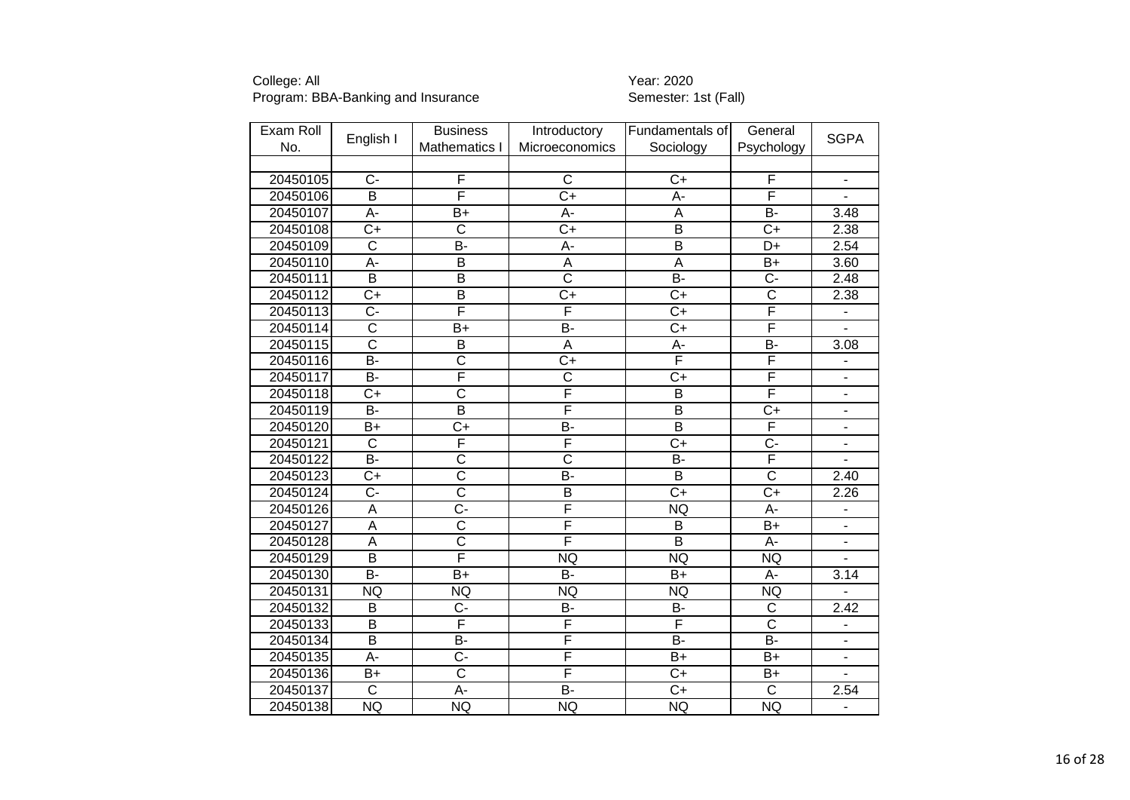| Exam Roll |                         | <b>Business</b>         | Introductory            | Fundamentals of         | General                 |                              |
|-----------|-------------------------|-------------------------|-------------------------|-------------------------|-------------------------|------------------------------|
| No.       | English I               | Mathematics I           | Microeconomics          | Sociology               | Psychology              | <b>SGPA</b>                  |
|           |                         |                         |                         |                         |                         |                              |
| 20450105  | $C -$                   | F                       | C                       | $C+$                    | F                       | $\overline{\phantom{0}}$     |
| 20450106  | $\overline{B}$          | F                       | $\overline{C+}$         | $\overline{A}$ -        | F                       | L.                           |
| 20450107  | A-                      | $B+$                    | А-                      | Α                       | $\overline{B}$          | 3.48                         |
| 20450108  | $\overline{C}$          | $\overline{C}$          | $\overline{C+}$         | B                       | $\overline{C+}$         | 2.38                         |
| 20450109  | $\overline{\text{c}}$   | $\overline{B}$          | $\overline{A}$ -        | $\overline{B}$          | $\overline{D+}$         | 2.54                         |
| 20450110  | $\overline{A}$ -        | $\overline{\mathsf{B}}$ | A                       | $\overline{A}$          | $B+$                    | 3.60                         |
| 20450111  | B                       | $\overline{\mathsf{B}}$ | $\overline{\text{c}}$   | <b>B-</b>               | $\overline{C}$          | 2.48                         |
| 20450112  | $\overline{C}$          | $\overline{\mathsf{B}}$ | $\overline{C+}$         | $\overline{C}$          | $\overline{\text{c}}$   | 2.38                         |
| 20450113  | $\overline{C}$ -        | F                       | F                       | $\overline{C}$          | F                       | $\qquad \qquad \blacksquare$ |
| 20450114  | $\overline{\text{c}}$   | $B+$                    | $\overline{B}$          | $C+$                    | F                       |                              |
| 20450115  | $\overline{\mathsf{c}}$ | $\overline{B}$          | $\overline{A}$          | А-                      | $\overline{B}$          | 3.08                         |
| 20450116  | $\overline{B}$          | $\overline{\text{c}}$   | $\overline{C+}$         | F                       | F                       | ÷                            |
| 20450117  | $\overline{B}$          | F                       | $\overline{\text{C}}$   | $\overline{C}$          | F                       | $\qquad \qquad \blacksquare$ |
| 20450118  | $C+$                    | $\overline{\text{c}}$   | F                       | B                       | F                       | $\blacksquare$               |
| 20450119  | $\overline{B}$          | $\overline{\mathsf{B}}$ | F                       | $\overline{B}$          | $\overline{C+}$         | $\qquad \qquad \blacksquare$ |
| 20450120  | $B+$                    | $C+$                    | $\overline{B}$          | $\overline{B}$          | F                       | $\overline{\phantom{0}}$     |
| 20450121  | $\overline{\text{c}}$   | F                       | F                       | $\overline{C}$          | $\overline{\text{C}}$ - | ÷                            |
| 20450122  | $\overline{B}$          | $\overline{\text{c}}$   | $\overline{\text{c}}$   | $\overline{B}$          | F                       |                              |
| 20450123  | $\overline{C}$          | $\overline{\text{c}}$   | B-                      | $\overline{B}$          | $\overline{\text{c}}$   | 2.40                         |
| 20450124  | $\overline{C}$ -        | $\overline{\text{c}}$   | $\overline{\mathsf{B}}$ | $\overline{C}$          | $\overline{C+}$         | 2.26                         |
| 20450126  | $\overline{A}$          | $\overline{C}$ -        | F                       | <b>NQ</b>               | $\overline{A}$ -        | -                            |
| 20450127  | A                       | $\overline{\text{c}}$   | F                       | B                       | $B+$                    | $\overline{\phantom{a}}$     |
| 20450128  | $\overline{A}$          | $\overline{\mathsf{c}}$ | F                       | $\overline{B}$          | A-                      | $\overline{\phantom{0}}$     |
| 20450129  | $\overline{B}$          | F                       | <b>NQ</b>               | <b>NQ</b>               | <b>NQ</b>               | ÷.                           |
| 20450130  | $\overline{B}$          | $B+$                    | $\overline{B}$          | $B+$                    | A-                      | 3.14                         |
| 20450131  | <b>NQ</b>               | <b>NQ</b>               | <b>NQ</b>               | <b>NQ</b>               | <b>NQ</b>               |                              |
| 20450132  | B                       | $C -$                   | B-                      | <b>B-</b>               | $\mathsf{C}$            | 2.42                         |
| 20450133  | B                       | F                       | F                       | $\overline{\mathsf{F}}$ | $\overline{\text{c}}$   | $\blacksquare$               |
| 20450134  | $\overline{\mathsf{B}}$ | B-                      | F                       | $\overline{B}$          | $\overline{B}$          | $\blacksquare$               |
| 20450135  | A-                      | $C -$                   | F                       | $B+$                    | $B+$                    | ä,                           |
| 20450136  | $B+$                    | $\overline{\text{c}}$   | F                       | $C+$                    | $B+$                    |                              |
| 20450137  | $\overline{\mathsf{C}}$ | A-                      | $\overline{B}$          | $\overline{C}$          | $\overline{\text{c}}$   | 2.54                         |
| 20450138  | NQ                      | NQ                      | <b>NQ</b>               | <b>NQ</b>               | <b>NQ</b>               | $\overline{\phantom{0}}$     |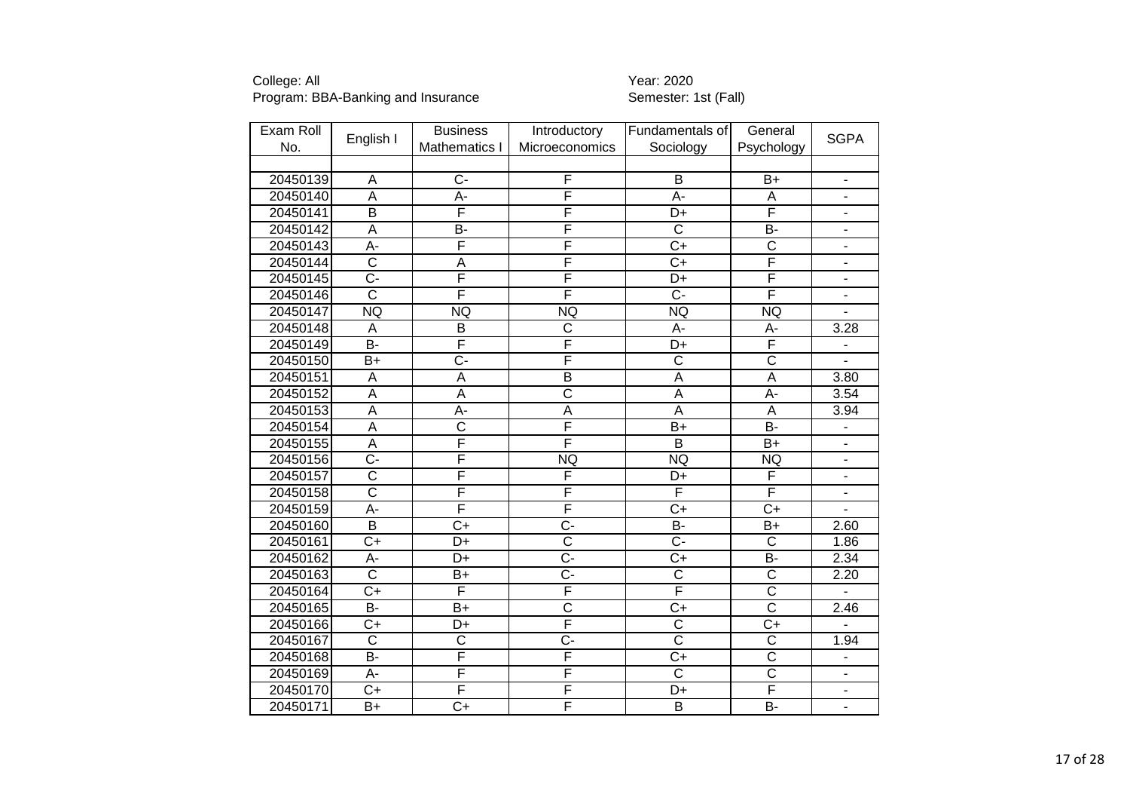| Exam Roll |                         | <b>Business</b>       | Introductory            | Fundamentals of       | General                 |                              |
|-----------|-------------------------|-----------------------|-------------------------|-----------------------|-------------------------|------------------------------|
| No.       | English I               | Mathematics I         | Microeconomics          | Sociology             | Psychology              | <b>SGPA</b>                  |
|           |                         |                       |                         |                       |                         |                              |
| 20450139  | Α                       | $\overline{C}$        | F                       | B                     | $B+$                    | $\overline{\phantom{a}}$     |
| 20450140  | $\overline{A}$          | A-                    | F                       | $\overline{A}$ -      | A                       | $\blacksquare$               |
| 20450141  | $\overline{B}$          | F                     | F                       | D+                    | F                       | $\overline{\phantom{m}}$     |
| 20450142  | A                       | B-                    | F                       | $\overline{\text{c}}$ | B-                      |                              |
| 20450143  | $A -$                   | F                     | F                       | $\overline{C}$        | $\overline{\text{c}}$   | $\blacksquare$               |
| 20450144  | $\overline{\text{c}}$   | A                     | F                       | $\overline{C}$        | F                       |                              |
| 20450145  | $\overline{C}$          | F                     | F                       | D+                    | F                       | $\overline{\phantom{a}}$     |
| 20450146  | $\overline{\text{c}}$   | F                     | F                       | $\overline{C}$ -      | F                       | $\overline{\phantom{a}}$     |
| 20450147  | <b>NQ</b>               | <b>NQ</b>             | <b>NQ</b>               | <b>NQ</b>             | <b>NQ</b>               |                              |
| 20450148  | A                       | B                     | $\overline{\text{c}}$   | A-                    | A-                      | 3.28                         |
| 20450149  | $\overline{B}$ -        | F                     | F                       | $\overline{D+}$       | F                       | $\qquad \qquad \blacksquare$ |
| 20450150  | $\overline{B+}$         | $\overline{C}$        | F                       | $\overline{\text{c}}$ | $\overline{\text{c}}$   |                              |
| 20450151  | A                       | A                     | $\overline{B}$          | A                     | $\overline{\mathsf{A}}$ | 3.80                         |
| 20450152  | A                       | A                     | $\overline{\text{c}}$   | A                     | A-                      | 3.54                         |
| 20450153  | $\overline{A}$          | A-                    | A                       | A                     | A                       | 3.94                         |
| 20450154  | $\overline{A}$          | $\overline{\text{c}}$ | F                       | $B+$                  | $\overline{B}$          | $\frac{1}{2}$                |
| 20450155  | $\overline{A}$          | F                     | F                       | $\overline{B}$        | $\overline{B+}$         | $\qquad \qquad \blacksquare$ |
| 20450156  | $\overline{C}$ -        | F                     | <b>NQ</b>               | <b>NQ</b>             | <b>NQ</b>               | $\overline{a}$               |
| 20450157  | $\overline{\text{c}}$   | F                     | F                       | D+                    | F                       |                              |
| 20450158  | $\overline{\text{c}}$   | F                     | F                       | F                     | F                       |                              |
| 20450159  | Ā-                      | F                     | F                       | $\overline{C+}$       | $\overline{C+}$         |                              |
| 20450160  | $\overline{\mathsf{B}}$ | $C+$                  | $\overline{C}$          | B-                    | $B+$                    | 2.60                         |
| 20450161  | $\overline{C+}$         | D+                    | $\overline{\text{c}}$   | $\overline{C}$ -      | $\overline{\text{c}}$   | 1.86                         |
| 20450162  | A-                      | D+                    | $\overline{C}$ -        | $\overline{C}$        | $\overline{B}$          | 2.34                         |
| 20450163  | $\overline{\text{c}}$   | $B+$                  | $\overline{C}$ -        | $\overline{\text{c}}$ | $\overline{\text{c}}$   | 2.20                         |
| 20450164  | $\overline{C+}$         | F                     | F                       | F                     | $\overline{\text{c}}$   |                              |
| 20450165  | <b>B-</b>               | $B+$                  | $\overline{\text{c}}$   | $C+$                  | $\overline{\text{c}}$   | 2.46                         |
| 20450166  | $C+$                    | D+                    | $\overline{\mathsf{F}}$ | $\overline{\text{c}}$ | $\overline{C+}$         |                              |
| 20450167  | $\overline{\text{c}}$   | $\overline{\text{c}}$ | $\overline{C}$ -        | $\overline{\text{c}}$ | $\overline{\text{c}}$   | 1.94                         |
| 20450168  | <b>B-</b>               | F                     | F                       | $C+$                  | $\overline{\text{c}}$   | $\overline{\phantom{0}}$     |
| 20450169  | A-                      | F                     | F                       | $\overline{\text{c}}$ | $\overline{\text{c}}$   | $\blacksquare$               |
| 20450170  | $\overline{C+}$         | F                     | F                       | D+                    | F                       |                              |
| 20450171  | $B+$                    | $C+$                  | F                       | $\overline{B}$        | $\overline{B}$          |                              |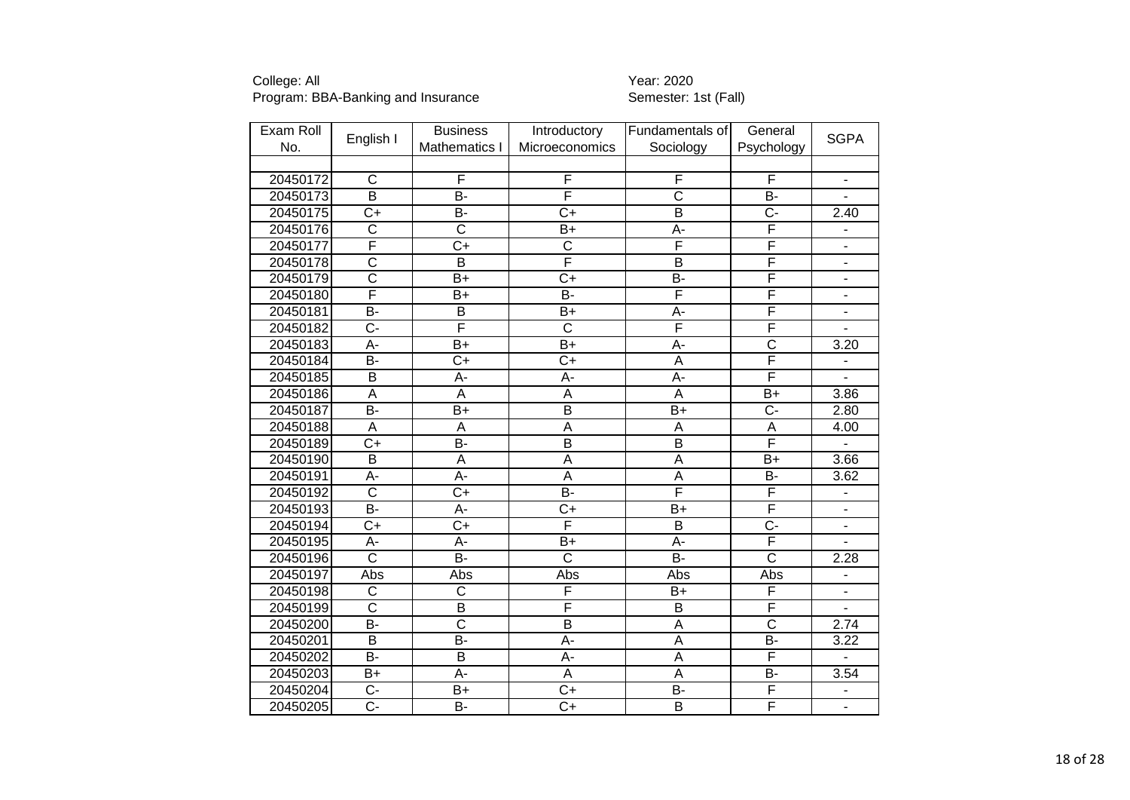| Exam Roll |                         | <b>Business</b>         | Introductory            | Fundamentals of       | General               |                              |
|-----------|-------------------------|-------------------------|-------------------------|-----------------------|-----------------------|------------------------------|
| No.       | English I               | Mathematics I           | Microeconomics          | Sociology             | Psychology            | <b>SGPA</b>                  |
|           |                         |                         |                         |                       |                       |                              |
| 20450172  | $\mathsf{C}$            | F                       | F                       | F                     | F                     | $\overline{\phantom{0}}$     |
| 20450173  | $\overline{\mathsf{B}}$ | $\overline{B}$ -        | F                       | $\overline{\text{c}}$ | $\overline{B}$        | $\overline{a}$               |
| 20450175  | $\overline{C}$          | B-                      | $\overline{C+}$         | $\overline{B}$        | Ç-                    | $\overline{2}.40$            |
| 20450176  | $\overline{C}$          | $\overline{\text{c}}$   | $B+$                    | А-                    | F                     | ä,                           |
| 20450177  | F                       | $\overline{C+}$         | $\overline{\text{c}}$   | F                     | F                     | $\frac{1}{2}$                |
| 20450178  | $\overline{\text{c}}$   | $\overline{\mathsf{B}}$ | F                       | $\overline{B}$        | F                     |                              |
| 20450179  | $\overline{\text{c}}$   | $B+$                    | $\overline{C}$          | <b>B-</b>             | F                     | ä,                           |
| 20450180  | F                       | B+                      | $\overline{B}$ -        | F                     | F                     | $\overline{\phantom{a}}$     |
| 20450181  | $\overline{B}$          | B                       | $B+$                    | A-                    | F                     | $\overline{\phantom{a}}$     |
| 20450182  | C-                      | F                       | $\overline{\text{c}}$   | F                     | F                     |                              |
| 20450183  | A-                      | $\overline{B+}$         | $B+$                    | $A -$                 | $\overline{\text{c}}$ | 3.20                         |
| 20450184  | B-                      | $\overline{C+}$         | $\overline{C+}$         | A                     | F                     | ÷                            |
| 20450185  | B                       | A-                      | A-                      | A-                    | F                     | $\blacksquare$               |
| 20450186  | A                       | A                       | A                       | A                     | $B+$                  | 3.86                         |
| 20450187  | $\overline{B}$          | $B+$                    | $\overline{\mathsf{B}}$ | $B+$                  | C-                    | 2.80                         |
| 20450188  | A                       | $\overline{A}$          | A                       | A                     | A                     | 4.00                         |
| 20450189  | $\overline{C+}$         | $\overline{B}$ -        | $\overline{\mathsf{B}}$ | $\overline{B}$        | F                     | L.                           |
| 20450190  | $\overline{\mathsf{B}}$ | $\overline{A}$          | $\overline{\mathsf{A}}$ | $\overline{A}$        | $\overline{B+}$       | 3.66                         |
| 20450191  | A-                      | A-                      | A                       | A                     | <b>B-</b>             | 3.62                         |
| 20450192  | $\overline{\text{c}}$   | $\overline{C+}$         | $\overline{B}$          | F                     | F                     |                              |
| 20450193  | B-                      | $\overline{A}$ -        | $\overline{C+}$         | $\overline{B}$        | F                     | $\blacksquare$               |
| 20450194  | $\overline{C}$          | $C+$                    | F                       | B                     | $\overline{C}$        | $\overline{\phantom{a}}$     |
| 20450195  | A-                      | A-                      | $B+$                    | $\overline{A}$ -      | F                     |                              |
| 20450196  | $\overline{\text{c}}$   | B-                      | $\overline{\text{c}}$   | $B -$                 | $\overline{\text{c}}$ | 2.28                         |
| 20450197  | Abs                     | Abs                     | Abs                     | Abs                   | Abs                   | $\blacksquare$               |
| 20450198  | $\overline{\text{c}}$   | $\overline{\mathsf{C}}$ | F                       | $B+$                  | F                     | $\qquad \qquad \blacksquare$ |
| 20450199  | $\overline{\text{c}}$   | B                       | F                       | B                     | F                     | $\overline{\phantom{a}}$     |
| 20450200  | $\overline{B}$          | $\overline{\text{c}}$   | $\overline{\mathsf{B}}$ | A                     | $\overline{\text{c}}$ | 2.74                         |
| 20450201  | $\overline{B}$          | $\overline{B}$          | A-                      | A                     | $\overline{B}$        | 3.22                         |
| 20450202  | <b>B-</b>               | B                       | A-                      | A                     | F                     |                              |
| 20450203  | $B+$                    | A-                      | A                       | $\overline{A}$        | $\overline{B}$        | 3.54                         |
| 20450204  | $\overline{C}$ -        | $B+$                    | $\overline{C+}$         | B-                    | F                     |                              |
| 20450205  | $\overline{C}$          | B-                      | $\overline{C}$          | $\overline{B}$        | F                     | $\overline{\phantom{0}}$     |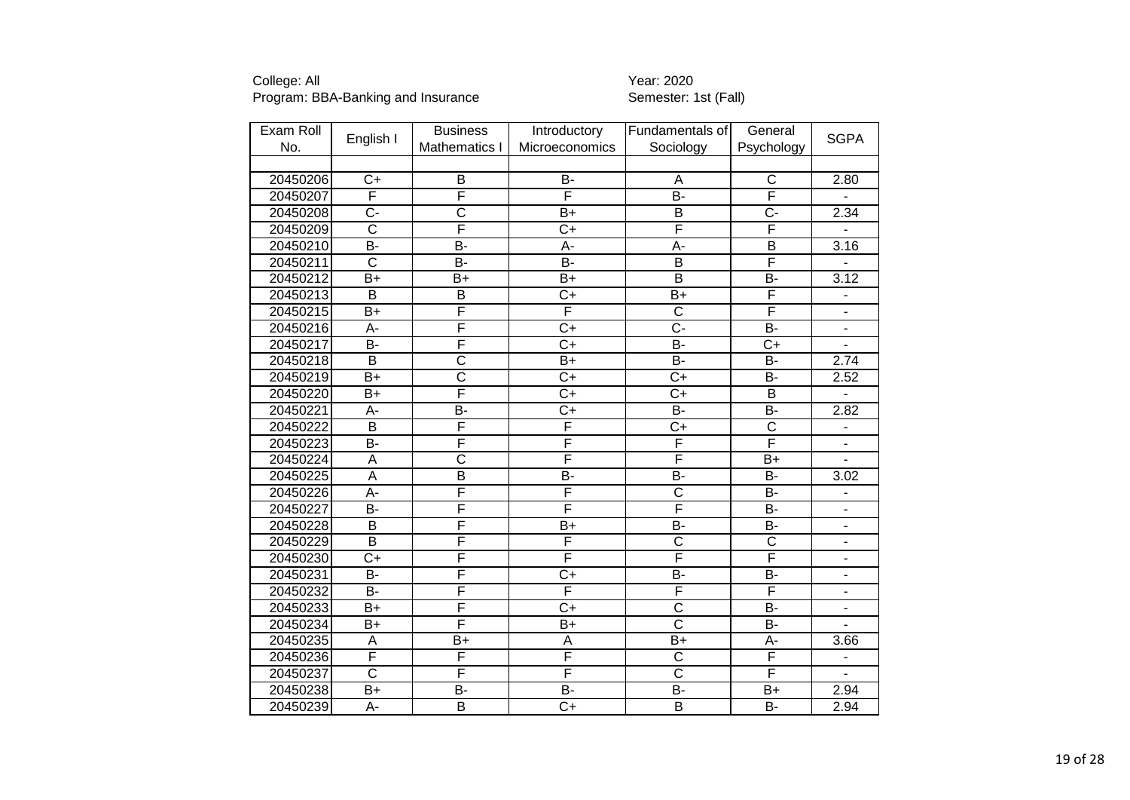| Exam Roll |                         | <b>Business</b>         | Introductory     | Fundamentals of         | General                 | <b>SGPA</b>                  |
|-----------|-------------------------|-------------------------|------------------|-------------------------|-------------------------|------------------------------|
| No.       | English I               | Mathematics I           | Microeconomics   | Sociology               | Psychology              |                              |
|           |                         |                         |                  |                         |                         |                              |
| 20450206  | $C+$                    | B                       | <b>B-</b>        | A                       | $\mathsf C$             | 2.80                         |
| 20450207  | F                       | F                       | F                | $\overline{B}$ -        | F                       | $\overline{a}$               |
| 20450208  | $\overline{C}$ -        | $\overline{\text{c}}$   | $B+$             | $\overline{B}$          | $\overline{C}$ -        | 2.34                         |
| 20450209  | $\overline{\text{c}}$   | F                       | $\overline{C}$   | F                       | F                       |                              |
| 20450210  | $\overline{B}$          | B-                      | $\overline{A}$ - | $\overline{A}$ -        | $\overline{\mathsf{B}}$ | $\overline{3.16}$            |
| 20450211  | $\overline{\text{c}}$   | $\overline{B}$ -        | $\overline{B}$   | $\overline{\mathsf{B}}$ | F                       |                              |
| 20450212  | $B+$                    | $B+$                    | $B+$             | $\overline{B}$          | <b>B-</b>               | 3.12                         |
| 20450213  | $\overline{B}$          | $\overline{B}$          | $\overline{C+}$  | $B+$                    | F                       |                              |
| 20450215  | $B+$                    | F                       | F                | $\overline{\text{c}}$   | F                       |                              |
| 20450216  | A-                      | F                       | $\overline{C+}$  | $\overline{C}$          | $\overline{B}$          | $\overline{\phantom{a}}$     |
| 20450217  | $\overline{B}$          | F                       | $\overline{C+}$  | $B -$                   | $\overline{C+}$         | ÷,                           |
| 20450218  | $\overline{B}$          | $\overline{\text{c}}$   | $\overline{B+}$  | $B -$                   | $\overline{B}$          | 2.74                         |
| 20450219  | $B+$                    | $\overline{\text{c}}$   | $\overline{C+}$  | $C+$                    | <b>B-</b>               | 2.52                         |
| 20450220  | $\overline{B}$          | F                       | $\overline{C+}$  | $\overline{C+}$         | $\overline{\mathsf{B}}$ | $\blacksquare$               |
| 20450221  | A-                      | B-                      | $\overline{C+}$  | B-                      | <b>B-</b>               | 2.82                         |
| 20450222  | $\overline{B}$          | F                       | F                | $\overline{C+}$         | $\overline{\text{c}}$   | $\overline{\phantom{a}}$     |
| 20450223  | $\overline{B}$          | F                       | F                | F                       | F                       | $\blacksquare$               |
| 20450224  | A                       | $\overline{\text{c}}$   | F                | F                       | $B+$                    |                              |
| 20450225  | $\overline{\mathsf{A}}$ | $\overline{\mathsf{B}}$ | $\overline{B}$   | $\overline{B}$          | $\overline{B}$          | 3.02                         |
| 20450226  | $A -$                   | F                       | F                | $\overline{\text{c}}$   | $\overline{B}$          |                              |
| 20450227  | $\overline{B}$          | F                       | F                | F                       | $\overline{B}$          |                              |
| 20450228  | B                       | F                       | $B+$             | <b>B-</b>               | <b>B-</b>               | $\overline{\phantom{a}}$     |
| 20450229  | $\overline{\mathsf{B}}$ | F                       | F                | $\overline{\text{c}}$   | $\overline{\text{c}}$   | Ĭ.                           |
| 20450230  | $\overline{C}$          | F                       | F                | F                       | F                       | ÷,                           |
| 20450231  | <b>B-</b>               | F                       | $\overline{C+}$  | $\overline{B}$          | $B -$                   | $\qquad \qquad \blacksquare$ |
| 20450232  | $\overline{B}$          | F                       | F                | F                       | F                       | $\overline{\phantom{a}}$     |
| 20450233  | $B+$                    | F                       | $\overline{C+}$  | $\overline{\text{c}}$   | <b>B-</b>               | $\qquad \qquad \blacksquare$ |
| 20450234  | $B+$                    | F                       | $B+$             | $\overline{\text{c}}$   | <b>B-</b>               | $\overline{a}$               |
| 20450235  | A                       | $B+$                    | А                | $\overline{B+}$         | A-                      | 3.66                         |
| 20450236  | F                       | F                       | F                | $\overline{C}$          | $\overline{\mathsf{F}}$ | $\overline{\phantom{a}}$     |
| 20450237  | $\overline{\text{c}}$   | F                       | F                | $\overline{\text{c}}$   | F                       | ÷.                           |
| 20450238  | $B+$                    | B-                      | $\overline{B}$ - | <b>B-</b>               | $B+$                    | 2.94                         |
| 20450239  | A-                      | $\overline{B}$          | $\overline{C+}$  | $\overline{B}$          | $\overline{B}$          | 2.94                         |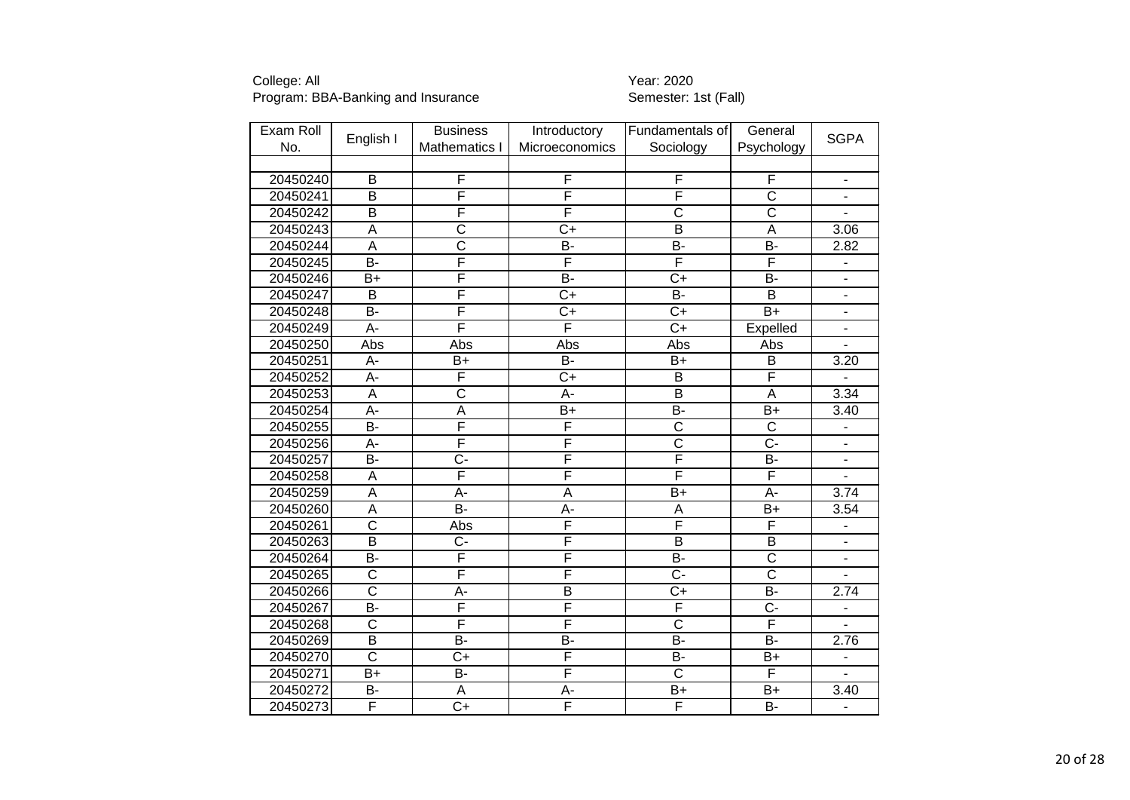| Exam Roll |                         | <b>Business</b>       | Introductory            | Fundamentals of         | General                 | <b>SGPA</b>              |
|-----------|-------------------------|-----------------------|-------------------------|-------------------------|-------------------------|--------------------------|
| No.       | English I               | Mathematics I         | Microeconomics          | Sociology               | Psychology              |                          |
|           |                         |                       |                         |                         |                         |                          |
| 20450240  | B                       | F                     | F                       | F                       | F                       | $\blacksquare$           |
| 20450241  | $\overline{B}$          | F                     | F                       | F                       | $\overline{\text{c}}$   | ÷,                       |
| 20450242  | $\overline{B}$          | F                     | F                       | $\overline{\text{c}}$   | $\overline{\text{c}}$   |                          |
| 20450243  | A                       | $\overline{\text{c}}$ | $C+$                    | $\overline{B}$          | $\overline{A}$          | 3.06                     |
| 20450244  | $\overline{\mathsf{A}}$ | $\overline{\text{c}}$ | $\overline{B}$          | B-                      | $\overline{B}$          | 2.82                     |
| 20450245  | $\overline{B}$          | F                     | F                       | F                       | F                       |                          |
| 20450246  | $B+$                    | F                     | $\overline{B}$          | $C+$                    | <b>B-</b>               | $\overline{\phantom{a}}$ |
| 20450247  | $\overline{B}$          | F                     | $\overline{C+}$         | $\overline{B}$          | $\overline{\mathsf{B}}$ | ä,                       |
| 20450248  | $\overline{B}$          | F                     | $\overline{C+}$         | $\overline{C+}$         | $\overline{B+}$         | $\overline{\phantom{a}}$ |
| 20450249  | A-                      | F                     | F                       | $\overline{C}$          | Expelled                | $\overline{\phantom{a}}$ |
| 20450250  | Abs                     | Abs                   | Abs                     | Abs                     | Abs                     | ä,                       |
| 20450251  | $\overline{A}$ -        | $B+$                  | $B -$                   | $\overline{B+}$         | $\overline{B}$          | 3.20                     |
| 20450252  | A-                      | F                     | $\overline{C+}$         | B                       | F                       |                          |
| 20450253  | $\overline{A}$          | $\overline{\text{c}}$ | $\overline{A}$ -        | $\overline{\mathsf{B}}$ | $\overline{A}$          | 3.34                     |
| 20450254  | A-                      | A                     | $B+$                    | B-                      | $B+$                    | 3.40                     |
| 20450255  | $\overline{B}$          | F                     | F                       | $\overline{\text{c}}$   | $\overline{\text{c}}$   | $\overline{\phantom{a}}$ |
| 20450256  | A-                      | F                     | F                       | $\overline{\text{c}}$   | $\overline{C}$ -        | $\frac{1}{2}$            |
| 20450257  | $\overline{B}$          | Ċ-                    | F                       | F                       | <b>B-</b>               | ÷,                       |
| 20450258  | $\overline{A}$          | F                     | F                       | $\overline{\mathsf{F}}$ | F                       | $\overline{a}$           |
| 20450259  | $\overline{\mathsf{A}}$ | $A -$                 | $\overline{\mathsf{A}}$ | $\overline{B+}$         | $A -$                   | 3.74                     |
| 20450260  | $\overline{A}$          | $B -$                 | $\overline{A}$          | $\overline{A}$          | $\overline{B+}$         | 3.54                     |
| 20450261  | $\overline{\text{c}}$   | Abs                   | F                       | F                       | F                       |                          |
| 20450263  | $\overline{\mathsf{B}}$ | $\overline{C}$ -      | F                       | $\overline{\mathsf{B}}$ | $\overline{\mathsf{B}}$ | $\overline{\phantom{a}}$ |
| 20450264  | $\overline{B}$          | F                     | F                       | $\overline{B}$          | $\overline{\text{c}}$   | $\overline{\phantom{a}}$ |
| 20450265  | $\overline{\text{c}}$   | F                     | F                       | $\overline{C}$          | $\overline{\text{c}}$   |                          |
| 20450266  | $\overline{\text{c}}$   | $A -$                 | $\overline{\mathsf{B}}$ | $\overline{C+}$         | $\overline{B}$ -        | 2.74                     |
| 20450267  | $\overline{B}$          | F                     | F                       | F                       | $\overline{C}$          | $\blacksquare$           |
| 20450268  | $\overline{\text{c}}$   | F                     | F                       | $\overline{\text{c}}$   | $\overline{\mathsf{F}}$ | ÷,                       |
| 20450269  | $\overline{\mathsf{B}}$ | $\overline{B}$        | $\overline{B}$          | $\overline{B}$          | $\overline{B}$          | 2.76                     |
| 20450270  | $\overline{\text{c}}$   | $\overline{C}$        | F                       | $\overline{B}$          | $\overline{B+}$         | $\overline{\phantom{a}}$ |
| 20450271  | $B+$                    | B-                    | F                       | $\overline{\text{c}}$   | F                       | ÷.                       |
| 20450272  | B-                      | A                     | A-                      | $B+$                    | B+                      | 3.40                     |
| 20450273  | F                       | $\overline{C}$        | F                       | $\overline{\mathsf{F}}$ | $\overline{B}$          | $\blacksquare$           |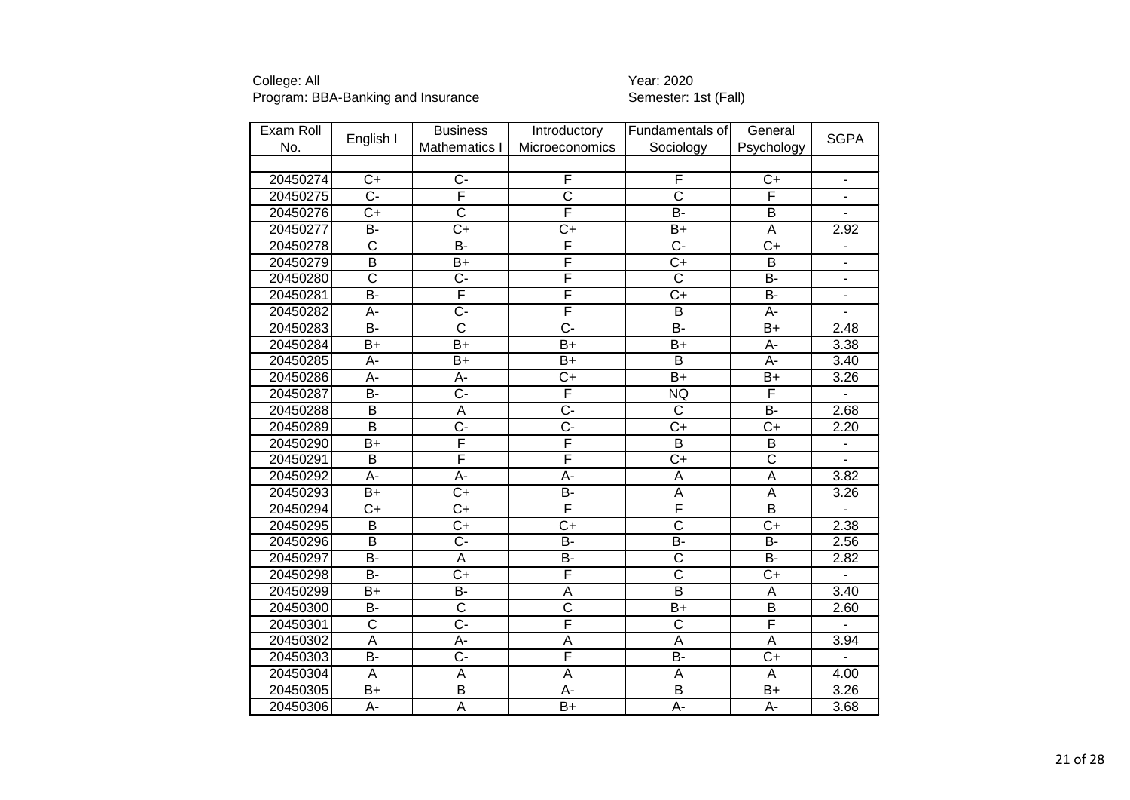| Exam Roll |                         | <b>Business</b>       | Introductory          | Fundamentals of         | General                 | <b>SGPA</b>              |
|-----------|-------------------------|-----------------------|-----------------------|-------------------------|-------------------------|--------------------------|
| No.       | English I               | Mathematics I         | Microeconomics        | Sociology               | Psychology              |                          |
|           |                         |                       |                       |                         |                         |                          |
| 20450274  | $C+$                    | $\overline{C}$        | F                     | F                       | $C+$                    | $\blacksquare$           |
| 20450275  | $\overline{C}$ -        | F                     | $\overline{\text{c}}$ | $\overline{\text{c}}$   | $\overline{\mathsf{F}}$ |                          |
| 20450276  | $\overline{C}$          | $\overline{\text{c}}$ | F                     | B-                      | $\overline{\mathsf{B}}$ |                          |
| 20450277  | $\overline{B}$          | $\overline{C+}$       | $\overline{C}$        | $B+$                    | $\overline{A}$          | 2.92                     |
| 20450278  | $\overline{\mathsf{C}}$ | <b>B-</b>             | F                     | $\overline{C}$ -        | $\overline{C+}$         |                          |
| 20450279  | $\overline{\mathsf{B}}$ | $B+$                  | F                     | $\overline{C}$          | $\overline{B}$          |                          |
| 20450280  | C                       | $C -$                 | F                     | $\overline{\text{c}}$   | B-                      | $\blacksquare$           |
| 20450281  | $\overline{B}$          | F                     | F                     | $\overline{C+}$         | $\overline{B}$          | ä,                       |
| 20450282  | A-                      | $\overline{C}$        | F                     | B                       | A-                      |                          |
| 20450283  | $\overline{B}$          | $\overline{\text{c}}$ | $\overline{C}$ -      | $B -$                   | $\overline{B+}$         | 2.48                     |
| 20450284  | $B+$                    | $\overline{B}$        | $\overline{B}$        | $\overline{B+}$         | A-                      | 3.38                     |
| 20450285  | A-                      | $\overline{B}$ +      | $\overline{B+}$       | $\overline{B}$          | $A -$                   | 3.40                     |
| 20450286  | A-                      | A-                    | $\overline{C+}$       | $\overline{B+}$         | $B+$                    | 3.26                     |
| 20450287  | $\overline{B}$          | $\overline{C}$ -      | F                     | <b>NQ</b>               | F                       | $\overline{a}$           |
| 20450288  | B                       | $\overline{A}$        | $\overline{C}$ -      | $\overline{\text{c}}$   | $\overline{B}$          | 2.68                     |
| 20450289  | $\overline{B}$          | $\overline{C}$        | C-                    | $C+$                    | $C+$                    | 2.20                     |
| 20450290  | $\overline{B+}$         | F                     | F                     | $\overline{B}$          | $\overline{B}$          | $\overline{\phantom{0}}$ |
| 20450291  | $\overline{\mathsf{B}}$ | F                     | F                     | $\overline{C+}$         | $\overline{\text{c}}$   |                          |
| 20450292  | A-                      | A-                    | $\overline{A}$        | $\overline{A}$          | $\overline{A}$          | 3.82                     |
| 20450293  | $\overline{B+}$         | $\overline{C}$        | $\overline{B}$        | $\overline{\mathsf{A}}$ | $\overline{A}$          | 3.26                     |
| 20450294  | $\overline{C+}$         | $\overline{C+}$       | F                     | F                       | $\overline{\mathsf{B}}$ |                          |
| 20450295  | B                       | $C+$                  | $\overline{C}$        | $\overline{\text{c}}$   | $C+$                    | 2.38                     |
| 20450296  | $\overline{\mathsf{B}}$ | $\overline{C}$ -      | $\overline{B}$ -      | B-                      | $\overline{B}$          | 2.56                     |
| 20450297  | <b>B-</b>               | A                     | $\overline{B}$        | $\overline{\text{c}}$   | <b>B-</b>               | 2.82                     |
| 20450298  | $\overline{B}$          | $\overline{C+}$       | F                     | $\overline{\text{c}}$   | $\overline{C}$          |                          |
| 20450299  | $B+$                    | B-                    | A                     | $\overline{B}$          | A                       | 3.40                     |
| 20450300  | <b>B-</b>               | $\overline{\text{c}}$ | $\overline{\text{c}}$ | $B+$                    | $\overline{B}$          | 2.60                     |
| 20450301  | $\overline{\text{c}}$   | $\overline{C}$ -      | F                     | $\overline{\text{c}}$   | F                       |                          |
| 20450302  | A                       | A-                    | A                     | A                       | A                       | 3.94                     |
| 20450303  | <b>B-</b>               | $C -$                 | F                     | B-                      | $C+$                    |                          |
| 20450304  | $\overline{A}$          | $\overline{A}$        | A                     | A                       | $\overline{A}$          | 4.00                     |
| 20450305  | $\overline{B+}$         | $\overline{B}$        | $A -$                 | $\overline{\mathsf{B}}$ | $\overline{B+}$         | 3.26                     |
| 20450306  | A-                      | $\overline{A}$        | $B+$                  | A-                      | A-                      | 3.68                     |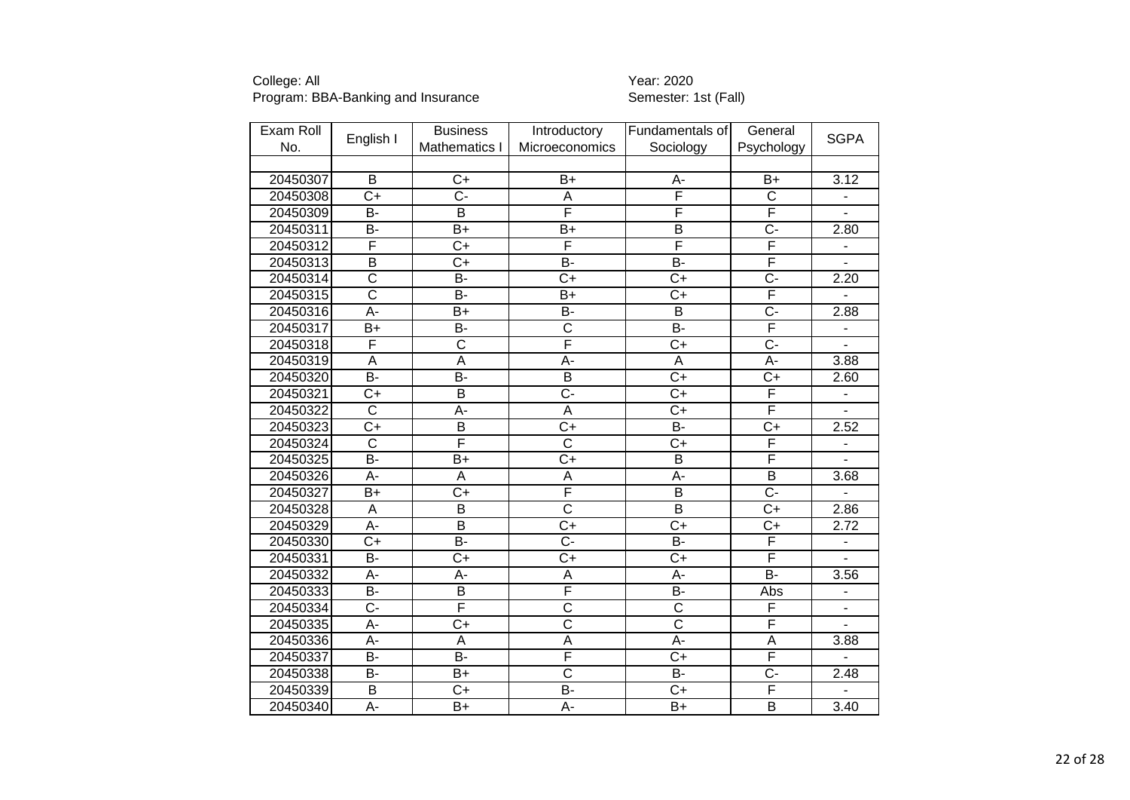| Exam Roll |                         | <b>Business</b>       | Introductory            | Fundamentals of         | General               | <b>SGPA</b>                  |
|-----------|-------------------------|-----------------------|-------------------------|-------------------------|-----------------------|------------------------------|
| No.       | English I               | Mathematics I         | Microeconomics          | Sociology               | Psychology            |                              |
|           |                         |                       |                         |                         |                       |                              |
| 20450307  | B                       | $C+$                  | $B+$                    | A-                      | $B+$                  | 3.12                         |
| 20450308  | $\overline{C}$          | $\overline{C}$ -      | A                       | F                       | $\overline{\text{c}}$ | $\blacksquare$               |
| 20450309  | B-                      | B                     | F                       | F                       | F                     | $\overline{\phantom{0}}$     |
| 20450311  | <b>B-</b>               | $B+$                  | $B+$                    | B                       | $\overline{C}$        | 2.80                         |
| 20450312  | F                       | $C+$                  | F                       | F                       | F                     | $\blacksquare$               |
| 20450313  | $\overline{\mathsf{B}}$ | $\overline{C+}$       | $\overline{B}$          | $B -$                   | F                     | L.                           |
| 20450314  | $\overline{\text{c}}$   | $B -$                 | $\overline{C}$          | $\overline{C}$          | $\overline{C}$ -      | 2.20                         |
| 20450315  | $\overline{\text{c}}$   | $\overline{B}$        | $\overline{B}$          | $\overline{C}$          | F                     |                              |
| 20450316  | $\overline{A}$ -        | $B+$                  | $\overline{B}$          | $\overline{B}$          | $\overline{C}$ -      | 2.88                         |
| 20450317  | B+                      | B-                    | $\overline{\text{c}}$   | <b>B-</b>               | F                     | $\qquad \qquad \blacksquare$ |
| 20450318  | F                       | $\overline{\text{c}}$ | F                       | $\overline{C+}$         | $\overline{C}$ -      |                              |
| 20450319  | $\overline{A}$          | $\overline{A}$        | $\overline{A}$ -        | A                       | A-                    | 3.88                         |
| 20450320  | $\overline{B}$          | $B -$                 | $\overline{B}$          | $\overline{C+}$         | $\overline{C+}$       | 2.60                         |
| 20450321  | $\overline{C}$          | $\overline{B}$        | $\overline{C}$ -        | $\overline{C}$          | F                     | ÷                            |
| 20450322  | $\overline{\text{c}}$   | A-                    | A                       | $C+$                    | F                     | $\overline{\phantom{a}}$     |
| 20450323  | $\overline{C+}$         | $\overline{B}$        | $\overline{C}$          | $\overline{B}$          | $\overline{C+}$       | 2.52                         |
| 20450324  | $\overline{\mathsf{C}}$ | F                     | $\overline{\mathsf{C}}$ | $\overline{C}$          | F                     | $\overline{a}$               |
| 20450325  | $\overline{B}$          | $B+$                  | $C+$                    | $\overline{B}$          | F                     |                              |
| 20450326  | A-                      | A                     | A                       | A-                      | $\overline{B}$        | 3.68                         |
| 20450327  | $\overline{B+}$         | $\overline{C+}$       | F                       | $\overline{\mathsf{B}}$ | $\overline{C}$ -      |                              |
| 20450328  | A                       | $\overline{B}$        | $\overline{\text{c}}$   | $\overline{B}$          | $C+$                  | 2.86                         |
| 20450329  | $\overline{A}$ -        | $\overline{B}$        | $\overline{C+}$         | $\overline{C+}$         | $\overline{C+}$       | 2.72                         |
| 20450330  | $\overline{C}$          | $\overline{B}$        | $\overline{C}$ -        | $\overline{B}$          | F                     | $\qquad \qquad \blacksquare$ |
| 20450331  | $\overline{B}$          | $\overline{C}$        | $\overline{C+}$         | $\overline{C+}$         | F                     |                              |
| 20450332  | А-                      | А-                    | Α                       | А-                      | $B -$                 | 3.56                         |
| 20450333  | B-                      | $\overline{B}$        | F                       | $\overline{B}$          | Abs                   | $\blacksquare$               |
| 20450334  | $\overline{C}$ -        | F                     | $\overline{\text{c}}$   | $\overline{\text{c}}$   | F                     | $\qquad \qquad \blacksquare$ |
| 20450335  | A-                      | $C+$                  | $\overline{\text{C}}$   | $\overline{\text{c}}$   | F                     | ÷.                           |
| 20450336  | $\overline{A}$ -        | $\overline{A}$        | $\overline{A}$          | $\overline{A}$ -        | $\overline{A}$        | 3.88                         |
| 20450337  | <b>B-</b>               | B-                    | F                       | $C+$                    | F                     |                              |
| 20450338  | <b>B-</b>               | $B+$                  | $\overline{\text{c}}$   | B-                      | $\overline{C}$        | 2.48                         |
| 20450339  | B                       | $C+$                  | $\overline{B}$          | $\overline{C}$          | F                     | ÷                            |
| 20450340  | $\overline{A}$ -        | $B+$                  | A-                      | $B+$                    | $\overline{B}$        | 3.40                         |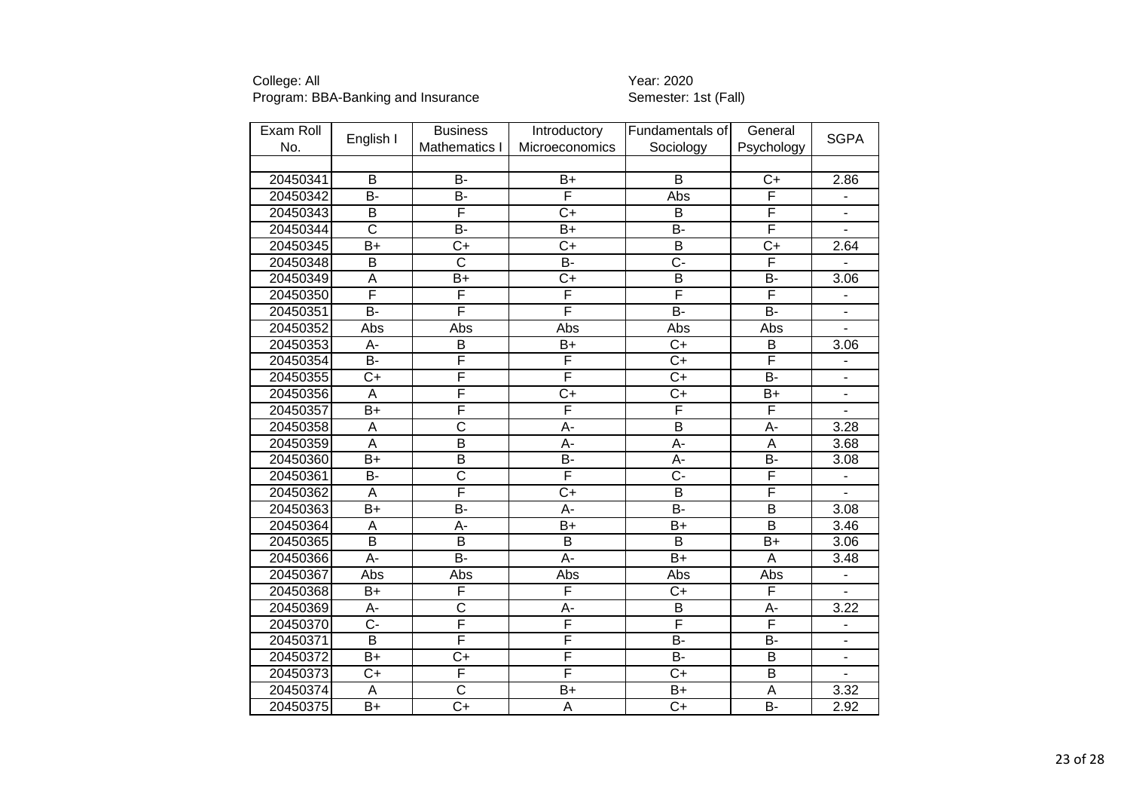| Exam Roll |                         | <b>Business</b>         | Introductory     | Fundamentals of         | General                 | <b>SGPA</b>                  |
|-----------|-------------------------|-------------------------|------------------|-------------------------|-------------------------|------------------------------|
| No.       | English I               | Mathematics I           | Microeconomics   | Sociology               | Psychology              |                              |
|           |                         |                         |                  |                         |                         |                              |
| 20450341  | B                       | $\overline{B}$          | $B+$             | B                       | $C+$                    | 2.86                         |
| 20450342  | B-                      | $\overline{B}$          | F                | Abs                     | F                       | $\frac{1}{2}$                |
| 20450343  | $\overline{B}$          | F                       | $\overline{C+}$  | $\overline{B}$          | F                       | $\overline{\phantom{0}}$     |
| 20450344  | $\overline{\text{c}}$   | $\overline{B}$          | $\overline{B+}$  | $B -$                   | F                       | $\overline{a}$               |
| 20450345  | $\overline{B}$          | $\overline{C}$          | $\overline{C+}$  | $\overline{B}$          | $\overline{C+}$         | 2.64                         |
| 20450348  | $\overline{B}$          | $\overline{\text{c}}$   | $\overline{B}$   | $\overline{C}$ -        | F                       |                              |
| 20450349  | A                       | B+                      | $C+$             | B                       | B-                      | 3.06                         |
| 20450350  | F                       | F                       | F                | F                       | F                       |                              |
| 20450351  | $\overline{B}$          | F                       | F                | $B -$                   | <b>B-</b>               | ÷,                           |
| 20450352  | Abs                     | Abs                     | Abs              | Abs                     | Abs                     |                              |
| 20450353  | $\overline{A}$ -        | $\overline{B}$          | $\overline{B+}$  | $\overline{C+}$         | B                       | 3.06                         |
| 20450354  | B-                      | F                       | F                | $\overline{C+}$         | F                       | $\overline{\phantom{0}}$     |
| 20450355  | $C+$                    | F                       | F                | $C+$                    | $\overline{B}$          | $\qquad \qquad \blacksquare$ |
| 20450356  | $\overline{A}$          | F                       | $\overline{C}$   | $\overline{C+}$         | $\overline{B+}$         | $\blacksquare$               |
| 20450357  | $B+$                    | F                       | F                | F                       | F                       | ÷,                           |
| 20450358  | A                       | $\overline{\text{c}}$   | A-               | $\overline{B}$          | A-                      | 3.28                         |
| 20450359  | $\overline{A}$          | $\overline{\mathsf{B}}$ | $\overline{A}$ - | $\overline{A}$ -        | $\overline{A}$          | 3.68                         |
| 20450360  | $\overline{B+}$         | $\overline{\mathsf{B}}$ | $\overline{B}$   | A-                      | $\overline{B}$          | 3.08                         |
| 20450361  | $\overline{B}$          | $\overline{\text{c}}$   | F                | C-                      | F                       |                              |
| 20450362  | $\overline{A}$          | F                       | $\overline{C+}$  | $\overline{\mathsf{B}}$ | F                       |                              |
| 20450363  | $\overline{B+}$         | $\overline{B}$ -        | $\overline{A}$ - | $\overline{B}$ -        | $\overline{\mathsf{B}}$ | 3.08                         |
| 20450364  | A                       | A-                      | $B+$             | $B+$                    | B                       | 3.46                         |
| 20450365  | $\overline{\mathsf{B}}$ | $\overline{\mathsf{B}}$ | $\overline{B}$   | $\overline{B}$          | $\overline{B+}$         | 3.06                         |
| 20450366  | А-                      | $\overline{B}$          | $\overline{A}$ - | $\overline{B+}$         | A                       | 3.48                         |
| 20450367  | Abs                     | Abs                     | Abs              | Abs                     | Abs                     | $\overline{\phantom{a}}$     |
| 20450368  | B+                      | F                       | F                | $\overline{C}$          | F                       | $\qquad \qquad \blacksquare$ |
| 20450369  | A-                      | $\overline{\text{c}}$   | A-               | B                       | A-                      | 3.22                         |
| 20450370  | $\overline{C}$ -        | F                       | F                | $\overline{\mathsf{F}}$ | $\overline{\mathsf{F}}$ | $\overline{\phantom{a}}$     |
| 20450371  | $\overline{B}$          | F                       | F                | $\overline{B}$          | $\overline{B}$          | $\blacksquare$               |
| 20450372  | $B+$                    | $C+$                    | F                | B-                      | B                       | L,                           |
| 20450373  | $\overline{C+}$         | $\overline{\mathsf{F}}$ | F                | $\overline{C}$          | $\overline{B}$          |                              |
| 20450374  | $\overline{\mathsf{A}}$ | $\overline{\text{c}}$   | $\overline{B}$   | $\overline{B+}$         | $\overline{A}$          | 3.32                         |
| 20450375  | B+                      | $\overline{C}$          | A                | $C+$                    | $\overline{B}$          | 2.92                         |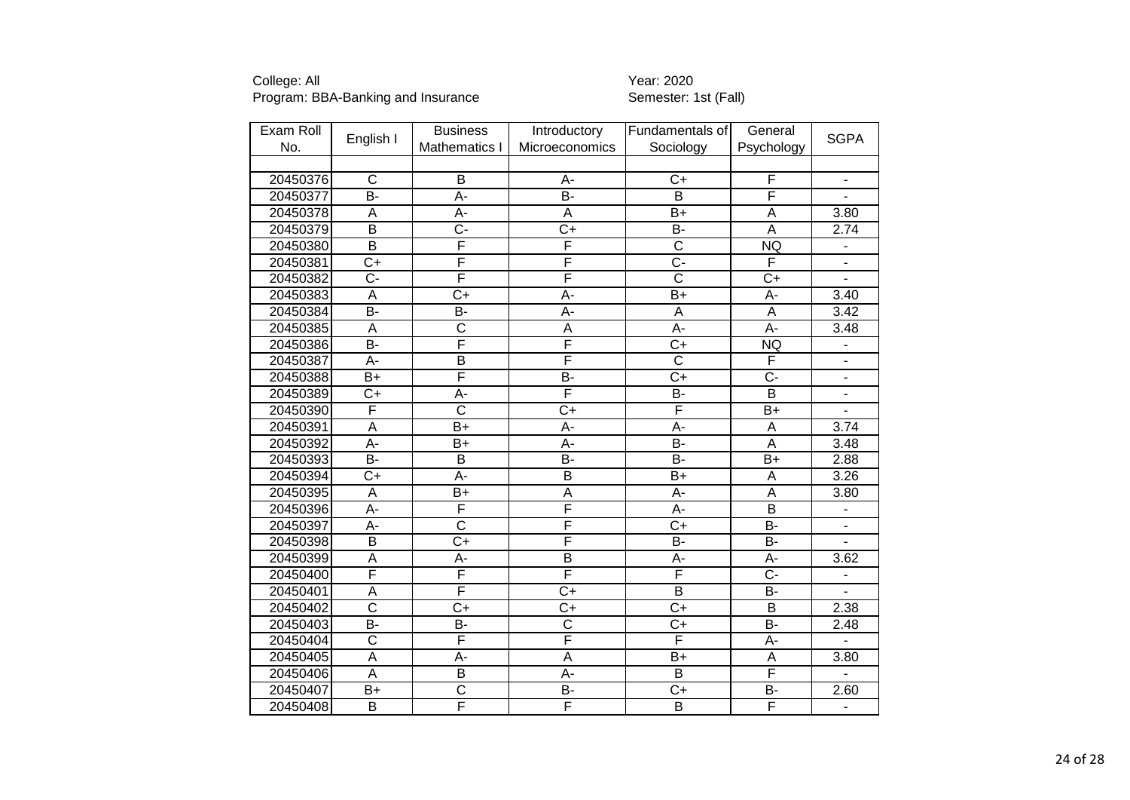| Exam Roll |                         | <b>Business</b>         | Introductory            | Fundamentals of         | General                 | <b>SGPA</b>                  |
|-----------|-------------------------|-------------------------|-------------------------|-------------------------|-------------------------|------------------------------|
| No.       | English I               | Mathematics I           | Microeconomics          | Sociology               | Psychology              |                              |
|           |                         |                         |                         |                         |                         |                              |
| 20450376  | $\overline{\text{c}}$   | B                       | A-                      | $C+$                    | F                       | $\qquad \qquad \blacksquare$ |
| 20450377  | $\overline{B}$ -        | $A -$                   | $\overline{B}$ -        | $\overline{B}$          | F                       | ÷,                           |
| 20450378  | A                       | A-                      | A                       | $\overline{B+}$         | A                       | 3.80                         |
| 20450379  | $\overline{B}$          | $\overline{C}$          | $\overline{C}$          | B-                      | $\overline{A}$          | 2.74                         |
| 20450380  | $\overline{\mathsf{B}}$ | F                       | F                       | $\overline{\text{c}}$   | <b>NQ</b>               | ÷                            |
| 20450381  | $\overline{C+}$         | F                       | F                       | $\overline{C}$ -        | F                       |                              |
| 20450382  | C-                      | F                       | F                       | $\overline{\text{c}}$   | $C+$                    |                              |
| 20450383  | A                       | $\overline{C+}$         | $\overline{A}$ -        | $B+$                    | $\overline{A}$ -        | 3.40                         |
| 20450384  | $\overline{B}$          | $\overline{B}$          | $\overline{A}$ -        | A                       | $\overline{A}$          | 3.42                         |
| 20450385  | A                       | $\overline{\text{c}}$   | A                       | $\overline{A}$ -        | $\overline{A}$          | 3.48                         |
| 20450386  | $B -$                   | F                       | F                       | $\overline{C+}$         | <b>NQ</b>               | $\qquad \qquad \blacksquare$ |
| 20450387  | $\overline{A}$ -        | $\overline{\mathsf{B}}$ | F                       | $\overline{\text{c}}$   | F                       | $\blacksquare$               |
| 20450388  | $B+$                    | F                       | B-                      | $C+$                    | $\overline{C}$          | $\qquad \qquad \blacksquare$ |
| 20450389  | $\overline{C}$          | $\overline{A}$ -        | F                       | $\overline{B}$          | $\overline{\mathsf{B}}$ | $\overline{\phantom{0}}$     |
| 20450390  | F                       | $\overline{\text{c}}$   | $C+$                    | F                       | $B+$                    | $\blacksquare$               |
| 20450391  | $\overline{A}$          | $B+$                    | A-                      | A-                      | $\overline{A}$          | 3.74                         |
| 20450392  | $\overline{A}$ -        | $B+$                    | A-                      | $\overline{B}$          | $\overline{A}$          | 3.48                         |
| 20450393  | $\overline{B}$          | $\overline{B}$          | $\overline{B}$          | <b>B-</b>               | $B+$                    | 2.88                         |
| 20450394  | $\overline{C+}$         | $\overline{A}$ -        | $\overline{\mathsf{B}}$ | $B+$                    | $\overline{A}$          | 3.26                         |
| 20450395  | $\overline{A}$          | $\overline{B+}$         | $\overline{\mathsf{A}}$ | $\overline{A}$ -        | $\overline{A}$          | 3.80                         |
| 20450396  | $\overline{A}$          | F                       | F                       | A-                      | $\overline{\mathsf{B}}$ |                              |
| 20450397  | A-                      | $\overline{\text{c}}$   | F                       | $\overline{C}$          | <b>B-</b>               |                              |
| 20450398  | $\overline{\mathsf{B}}$ | $\overline{C+}$         | F                       | $\overline{B}$          | $\overline{B}$          |                              |
| 20450399  | $\overline{\mathsf{A}}$ | A-                      | $\overline{\mathsf{B}}$ | A-                      | A-                      | 3.62                         |
| 20450400  | F                       | F                       | F                       | F                       | $\overline{C}$ -        | $\overline{\phantom{0}}$     |
| 20450401  | $\overline{\mathsf{A}}$ | F                       | $\overline{C+}$         | $\overline{\mathsf{B}}$ | $\overline{B}$          | $\overline{\phantom{a}}$     |
| 20450402  | $\overline{\text{c}}$   | $C+$                    | $\overline{C+}$         | $\overline{C+}$         | B                       | 2.38                         |
| 20450403  | <b>B-</b>               | B-                      | $\overline{\text{c}}$   | $C+$                    | <b>B-</b>               | 2.48                         |
| 20450404  | $\overline{\text{c}}$   | F                       | F                       | F                       | $\overline{A}$ -        | $\overline{\phantom{0}}$     |
| 20450405  | $\overline{A}$          | A-                      | A                       | $B+$                    | $\overline{A}$          | 3.80                         |
| 20450406  | A                       | $\overline{B}$          | A-                      | $\overline{B}$          | F                       | $\overline{a}$               |
| 20450407  | $\overline{B+}$         | $\overline{\text{c}}$   | B-                      | $\overline{C}$          | $\overline{B}$          | 2.60                         |
| 20450408  | $\overline{B}$          | F                       | F                       | $\overline{B}$          | F                       | $\blacksquare$               |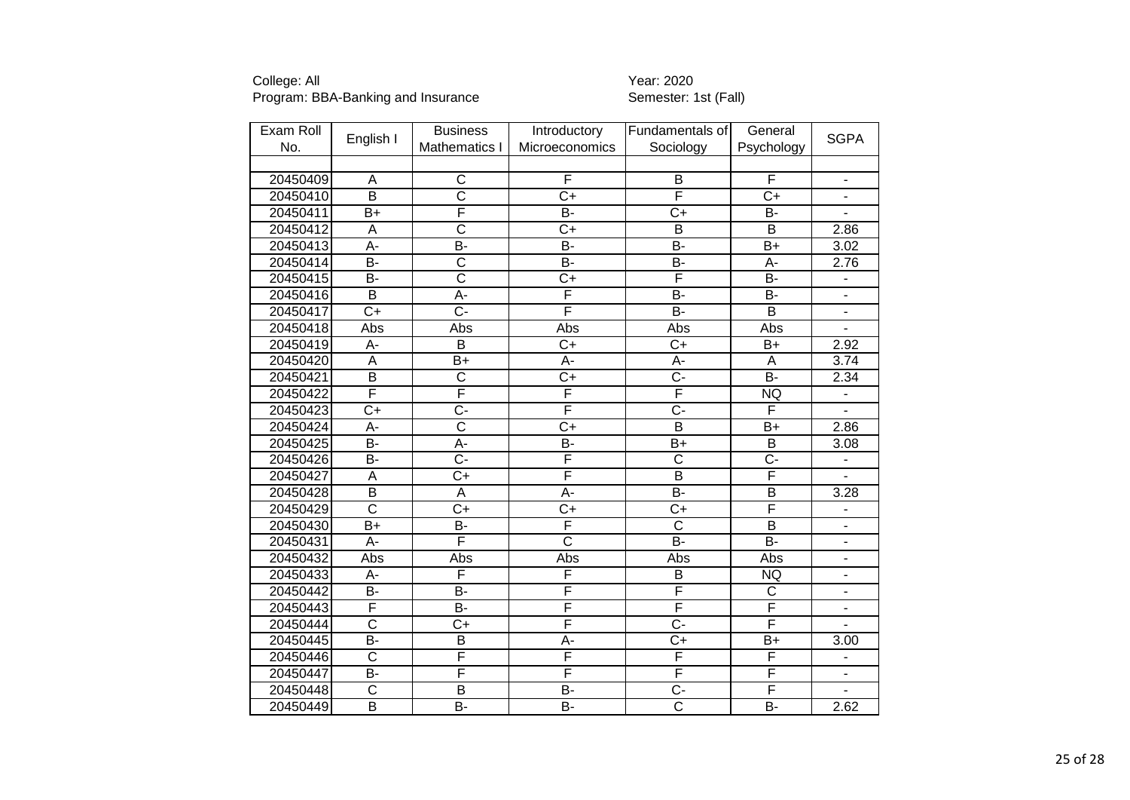| Exam Roll |                       | <b>Business</b>       | Introductory            | Fundamentals of         | General                 |                          |
|-----------|-----------------------|-----------------------|-------------------------|-------------------------|-------------------------|--------------------------|
| No.       | English I             | Mathematics I         | Microeconomics          | Sociology               | Psychology              | <b>SGPA</b>              |
|           |                       |                       |                         |                         |                         |                          |
| 20450409  | Α                     | $\mathsf{C}$          | F                       | B                       | F                       | $\overline{\phantom{a}}$ |
| 20450410  | $\overline{B}$        | $\overline{\text{c}}$ | $\overline{C+}$         | F                       | $\overline{C+}$         | $\overline{\phantom{a}}$ |
| 20450411  | $B+$                  | F                     | $\overline{B}$          | $C+$                    | B-                      |                          |
| 20450412  | A                     | $\overline{\text{c}}$ | $C+$                    | $\overline{B}$          | $\overline{B}$          | 2.86                     |
| 20450413  | $\overline{A}$ -      | $\overline{B}$ -      | $\overline{B}$          | B-                      | $\overline{B+}$         | 3.02                     |
| 20450414  | B-                    | $\overline{\text{c}}$ | $\overline{B}$          | B-                      | A-                      | 2.76                     |
| 20450415  | <b>B-</b>             | $\overline{\text{c}}$ | $\overline{C+}$         | F                       | $\overline{B}$          |                          |
| 20450416  | $\overline{B}$        | $\overline{A}$ -      | F                       | <b>B-</b>               | B-                      | $\overline{\phantom{a}}$ |
| 20450417  | $\overline{C+}$       | $\overline{C}$ -      | F                       | $\overline{B}$          | $\overline{B}$          | ÷,                       |
| 20450418  | Abs                   | Abs                   | Abs                     | Abs                     | Abs                     |                          |
| 20450419  | A-                    | $\overline{B}$        | $\overline{C+}$         | $\overline{C+}$         | $B+$                    | 2.92                     |
| 20450420  | A                     | $\overline{B}$        | A-                      | A-                      | A                       | 3.74                     |
| 20450421  | $\overline{B}$        | $\overline{\text{c}}$ | $\overline{C+}$         | $\overline{C}$ -        | $\overline{B}$          | 2.34                     |
| 20450422  | F                     | F                     | F                       | F                       | <b>NQ</b>               | $\blacksquare$           |
| 20450423  | $C+$                  | C-                    | $\overline{\mathsf{F}}$ | $\overline{C}$          | F                       |                          |
| 20450424  | A-                    | $\overline{\text{c}}$ | $\overline{C+}$         | $\overline{B}$          | $B+$                    | 2.86                     |
| 20450425  | $\overline{B}$ -      | A-                    | $\overline{B}$          | $\overline{B+}$         | $\overline{B}$          | 3.08                     |
| 20450426  | B-                    | $\overline{C}$ -      | F                       | $\overline{\text{c}}$   | $\overline{C}$          |                          |
| 20450427  | A                     | $C+$                  | F                       | $\overline{B}$          | F                       |                          |
| 20450428  | $\overline{B}$        | $\overline{A}$        | $A -$                   | $\overline{B}$ -        | $\overline{\mathsf{B}}$ | 3.28                     |
| 20450429  | $\overline{\text{c}}$ | $\overline{C+}$       | $\overline{C+}$         | $\overline{C}$          | F                       |                          |
| 20450430  | $B+$                  | B-                    | F                       | $\overline{\text{c}}$   | $\overline{B}$          |                          |
| 20450431  | A-                    | F                     | $\overline{\text{c}}$   | $\overline{B}$ -        | $\overline{B}$          | $\overline{\phantom{a}}$ |
| 20450432  | Abs                   | Abs                   | Abs                     | Abs                     | Abs                     | $\overline{\phantom{a}}$ |
| 20450433  | A-                    | F                     | F                       | B                       | <b>NQ</b>               | $\blacksquare$           |
| 20450442  | Я-                    | $\overline{B}$        | F                       | F                       | $\overline{\mathsf{C}}$ | $\overline{\phantom{a}}$ |
| 20450443  | F                     | <b>B-</b>             | F                       | F                       | F                       | $\overline{\phantom{a}}$ |
| 20450444  | $\overline{\text{c}}$ | $C+$                  | F                       | $\overline{C}$          | F                       | $\overline{a}$           |
| 20450445  | $\overline{B}$ -      | $\overline{B}$        | A-                      | $C+$                    | $\overline{B+}$         | 3.00                     |
| 20450446  | $\overline{\text{c}}$ | F                     | F                       | F                       | F                       | $\overline{\phantom{a}}$ |
| 20450447  | $\overline{B}$        | F                     | $\overline{\mathsf{F}}$ | $\overline{\mathsf{F}}$ | F                       |                          |
| 20450448  | $\overline{\text{c}}$ | $\overline{B}$        | $\overline{B}$          | $\overline{C}$ -        | F                       |                          |
| 20450449  | $\overline{B}$        | B-                    | $\overline{B}$          | $\overline{\text{c}}$   | $\overline{B}$          | 2.62                     |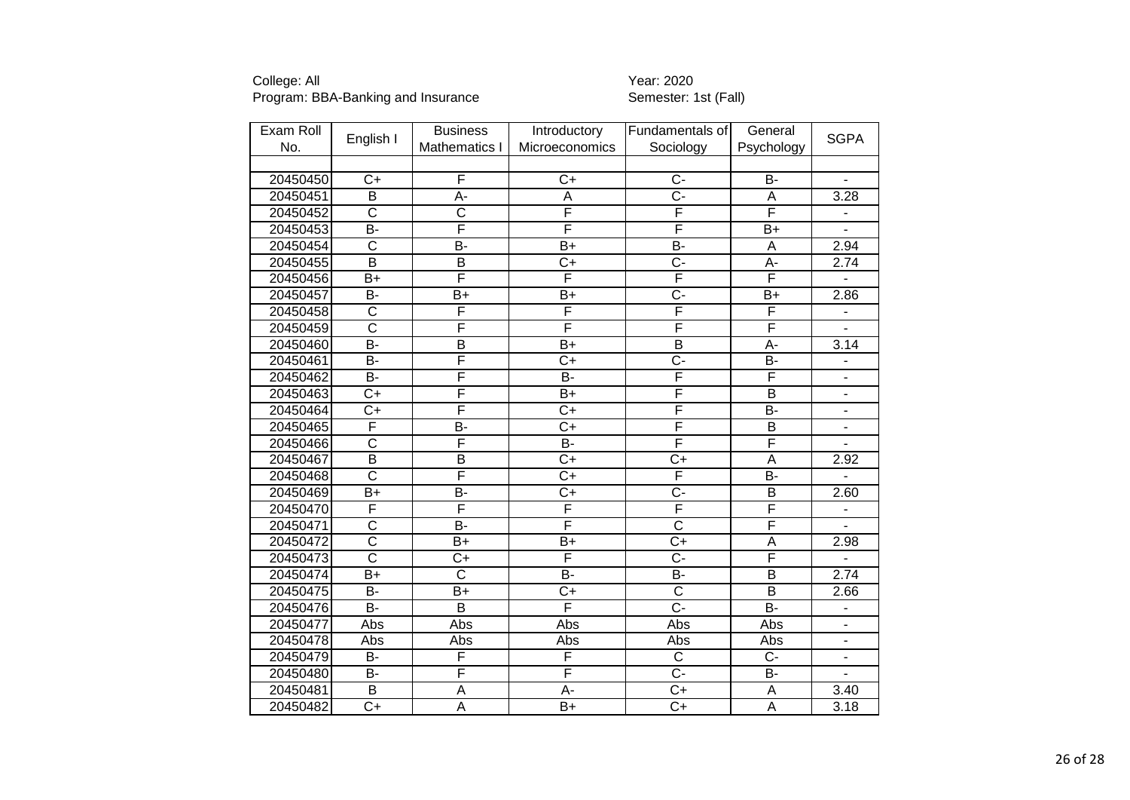| Exam Roll |                         | <b>Business</b>         | Introductory     | Fundamentals of         | General                 |                              |
|-----------|-------------------------|-------------------------|------------------|-------------------------|-------------------------|------------------------------|
| No.       | English I               | Mathematics I           | Microeconomics   | Sociology               | Psychology              | <b>SGPA</b>                  |
|           |                         |                         |                  |                         |                         |                              |
| 20450450  | $C+$                    | F                       | $C+$             | $C -$                   | <b>B-</b>               |                              |
| 20450451  | $\overline{B}$          | $\overline{A}$ -        | $\overline{A}$   | $\overline{C}$ -        | $\overline{A}$          | 3.28                         |
| 20450452  | $\overline{\mathsf{C}}$ | $\overline{\text{c}}$   | F                | F                       | F                       |                              |
| 20450453  | B-                      | F                       | F                | F                       | $B+$                    |                              |
| 20450454  | $\overline{\text{c}}$   | $\overline{B}$          | $\overline{B+}$  | $\overline{B}$          | $\overline{A}$          | 2.94                         |
| 20450455  | $\overline{\mathsf{B}}$ | $\overline{\mathsf{B}}$ | $\overline{C+}$  | $\overline{C}$ -        | $\overline{A}$ -        | 2.74                         |
| 20450456  | $B+$                    | F                       | F                | F                       | F                       |                              |
| 20450457  | B-                      | B+                      | $\overline{B}$   | $\overline{C}$ -        | $B+$                    | 2.86                         |
| 20450458  | $\overline{\text{c}}$   | F                       | F                | F                       | F                       |                              |
| 20450459  | $\overline{\text{c}}$   | F                       | F                | F                       | F                       |                              |
| 20450460  | $\overline{B}$          | $\overline{\mathsf{B}}$ | $\overline{B+}$  | $\overline{\mathsf{B}}$ | $\overline{A}$ -        | 3.14                         |
| 20450461  | $B -$                   | F                       | $\overline{C+}$  | $\overline{C}$ -        | $\overline{B}$          | $\qquad \qquad \blacksquare$ |
| 20450462  | $\overline{B}$          | F                       | $B -$            | F                       | F                       | $\overline{\phantom{a}}$     |
| 20450463  | $C+$                    | F                       | $B+$             | F                       | $\overline{B}$          | $\blacksquare$               |
| 20450464  | $\overline{C+}$         | F                       | $\overline{C+}$  | F                       | $\overline{B}$          | $\blacksquare$               |
| 20450465  | F                       | $\overline{B}$          | $\overline{C}$   | F                       | $\overline{\mathsf{B}}$ | $\overline{\phantom{a}}$     |
| 20450466  | $\overline{\text{c}}$   | F                       | $B -$            | F                       | F                       |                              |
| 20450467  | $\overline{\mathsf{B}}$ | $\overline{B}$          | $\overline{C+}$  | $\overline{C+}$         | $\overline{\mathsf{A}}$ | 2.92                         |
| 20450468  | $\overline{\text{c}}$   | F                       | $\overline{C}$   | F                       | $\overline{B}$          |                              |
| 20450469  | $\overline{B+}$         | B-                      | $\overline{C+}$  | $\overline{C}$ -        | $\overline{\mathsf{B}}$ | 2.60                         |
| 20450470  | F                       | F                       | F                | F                       | F                       |                              |
| 20450471  | $\overline{\text{c}}$   | $\overline{B}$          | F                | $\overline{\text{c}}$   | F                       |                              |
| 20450472  | $\overline{\text{c}}$   | $\overline{B+}$         | $\overline{B+}$  | $\overline{C+}$         | $\overline{\mathsf{A}}$ | 2.98                         |
| 20450473  | $\overline{\text{c}}$   | $C+$                    | F                | $\overline{C}$ -        | F                       |                              |
| 20450474  | $\overline{B+}$         | $\overline{\text{c}}$   | $\overline{B}$   | $B -$                   | $\overline{B}$          | 2.74                         |
| 20450475  | Я-                      | $\overline{B+}$         | $\overline{C+}$  | $\overline{\text{c}}$   | $\overline{B}$          | 2.66                         |
| 20450476  | <b>B-</b>               | B                       | F                | C-                      | $B -$                   | $\blacksquare$               |
| 20450477  | Abs                     | Abs                     | Abs              | Abs                     | Abs                     | $\overline{\phantom{a}}$     |
| 20450478  | Abs                     | Abs                     | Abs              | Abs                     | Abs                     | $\blacksquare$               |
| 20450479  | <b>B-</b>               | F                       | F                | $\overline{C}$          | $\overline{C}$          | $\blacksquare$               |
| 20450480  | $\overline{B}$          | F                       | F                | $\overline{C}$          | $\overline{B}$          |                              |
| 20450481  | $\overline{B}$          | A                       | $\overline{A}$ - | $\overline{C}$          | A                       | 3.40                         |
| 20450482  | $\overline{C+}$         | A                       | $\overline{B+}$  | $C+$                    | $\overline{A}$          | 3.18                         |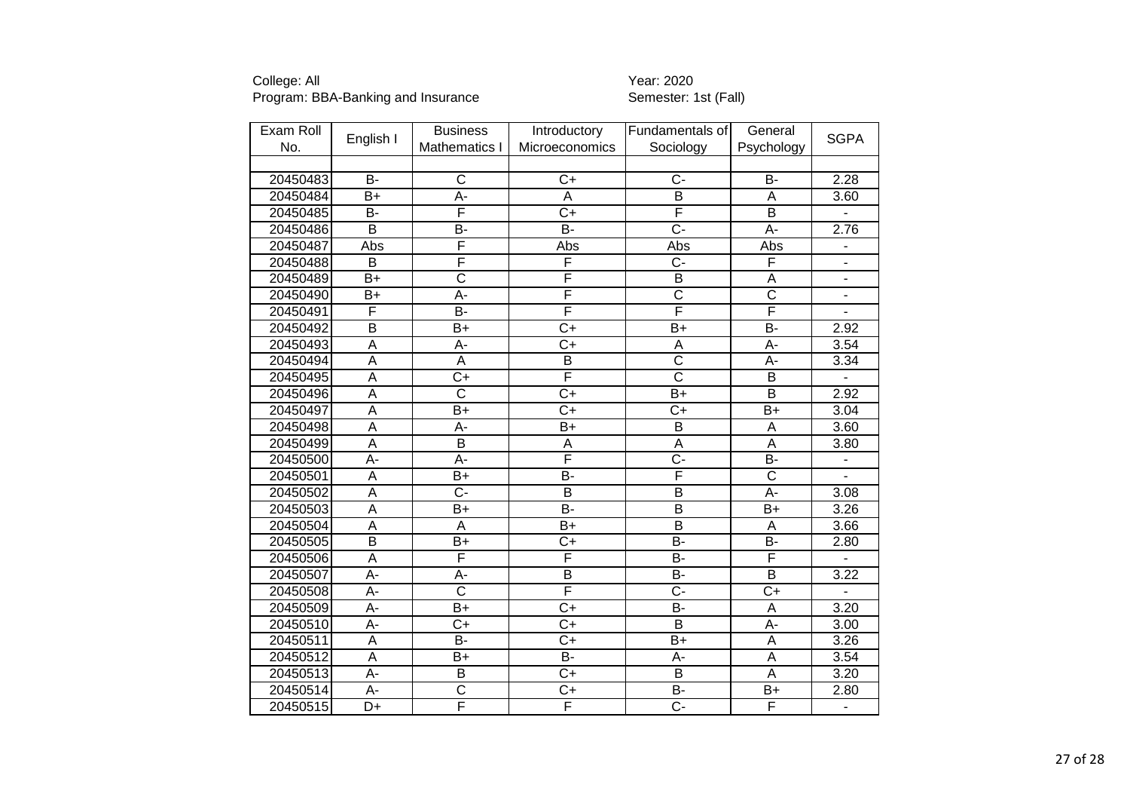| Exam Roll |                         | <b>Business</b>       | Introductory    | Fundamentals of         | General               | <b>SGPA</b>                  |
|-----------|-------------------------|-----------------------|-----------------|-------------------------|-----------------------|------------------------------|
| No.       | English I               | Mathematics I         | Microeconomics  | Sociology               | Psychology            |                              |
|           |                         |                       |                 |                         |                       |                              |
| 20450483  | <b>B-</b>               | $\overline{\text{c}}$ | $C+$            | $C -$                   | <b>B-</b>             | 2.28                         |
| 20450484  | $\overline{B}$          | $\overline{A}$ -      | $\overline{A}$  | $\overline{\mathsf{B}}$ | A                     | 3.60                         |
| 20450485  | B-                      | F                     | $\overline{C}$  | F                       | $\overline{B}$        |                              |
| 20450486  | $\overline{\mathsf{B}}$ | B-                    | $\overline{B}$  | $\overline{C}$          | A-                    | 2.76                         |
| 20450487  | <b>Abs</b>              | F                     | Abs             | Abs                     | Abs                   | $\overline{\phantom{a}}$     |
| 20450488  | $\overline{B}$          | F                     | F               | $\overline{C}$          | F                     |                              |
| 20450489  | $B+$                    | $\overline{\text{c}}$ | F               | $\overline{B}$          | $\overline{A}$        | $\overline{\phantom{a}}$     |
| 20450490  | B+                      | $\overline{A}$ -      | F               | $\overline{\text{c}}$   | $\overline{\text{c}}$ | ÷,                           |
| 20450491  | F                       | $\overline{B}$        | F               | F                       | F                     | $\overline{a}$               |
| 20450492  | B                       | $B+$                  | $\overline{C}$  | $B+$                    | <b>B-</b>             | 2.92                         |
| 20450493  | $\overline{A}$          | $\overline{A}$ -      | $\overline{C+}$ | A                       | $\overline{A}$ -      | 3.54                         |
| 20450494  | $\overline{A}$          | A                     | $\overline{B}$  | $\overline{\text{c}}$   | A-                    | 3.34                         |
| 20450495  | A                       | $\overline{C}$        | F               | $\overline{\text{c}}$   | B                     | $\blacksquare$               |
| 20450496  | A                       | $\overline{\text{c}}$ | $\overline{C+}$ | $B+$                    | B                     | 2.92                         |
| 20450497  | $\overline{A}$          | $B+$                  | $\overline{C+}$ | $C+$                    | $\overline{B+}$       | 3.04                         |
| 20450498  | $\overline{A}$          | A-                    | $B+$            | B                       | $\overline{A}$        | 3.60                         |
| 20450499  | $\overline{A}$          | $\overline{B}$        | A               | A                       | $\overline{A}$        | 3.80                         |
| 20450500  | $\overline{A}$          | A-                    | F               | $\overline{C}$ -        | $\overline{B}$        |                              |
| 20450501  | A                       | $B+$                  | B-              | F                       | $\overline{\text{c}}$ |                              |
| 20450502  | $\overline{A}$          | $\overline{C}$ -      | $\overline{B}$  | $\overline{\mathsf{B}}$ | $\overline{A}$ -      | 3.08                         |
| 20450503  | $\overline{A}$          | $B+$                  | B-              | $\overline{B}$          | $\overline{B+}$       | 3.26                         |
| 20450504  | $\overline{A}$          | A                     | $B+$            | $\overline{B}$          | A                     | 3.66                         |
| 20450505  | $\overline{B}$          | $B+$                  | $\overline{C+}$ | $\overline{B}$          | $\overline{B}$        | 2.80                         |
| 20450506  | $\overline{A}$          | F                     | F               | $\overline{B}$          | F                     | $\blacksquare$               |
| 20450507  | $\overline{A}$          | A-                    | $\overline{B}$  | $\overline{B}$          | $\overline{B}$        | 3.22                         |
| 20450508  | A-                      | $\overline{\text{c}}$ | F               | $\overline{C}$ -        | $\overline{C+}$       |                              |
| 20450509  | A-                      | $B+$                  | $\overline{C}$  | B-                      | A                     | 3.20                         |
| 20450510  | A-                      | $C+$                  | $\overline{C}$  | $\overline{B}$          | A-                    | 3.00                         |
| 20450511  | A                       | $\overline{B}$        | $\overline{C}$  | $\overline{B+}$         | A                     | 3.26                         |
| 20450512  | A                       | $B+$                  | <b>B-</b>       | A-                      | A                     | 3.54                         |
| 20450513  | $\overline{A}$ -        | $\overline{B}$        | $\overline{C+}$ | $\overline{B}$          | $\overline{A}$        | 3.20                         |
| 20450514  | A-                      | $\overline{\text{c}}$ | $\overline{C}$  | $\overline{B}$          | B+                    | 2.80                         |
| 20450515  | D+                      | F                     | F               | $\overline{C}$          | F                     | $\qquad \qquad \blacksquare$ |